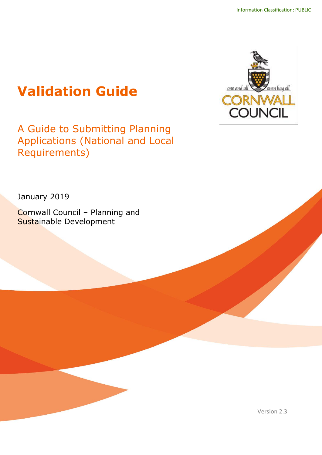# **Validation Guide**

A Guide to Submitting Planning Applications (National and Local Requirements)



January 2019

Cornwall Council – Planning and Sustainable Development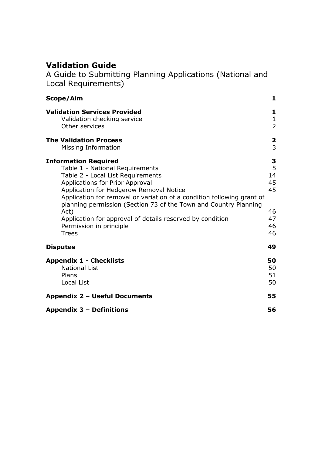# **Validation Guide**

A Guide to Submitting Planning Applications (National and Local Requirements)

| Scope/Aim                                                                                                                                                                                                                                                                                                                                                                                                                                       | $\mathbf{1}$                                     |
|-------------------------------------------------------------------------------------------------------------------------------------------------------------------------------------------------------------------------------------------------------------------------------------------------------------------------------------------------------------------------------------------------------------------------------------------------|--------------------------------------------------|
| <b>Validation Services Provided</b><br>Validation checking service<br>Other services                                                                                                                                                                                                                                                                                                                                                            | 1<br>$\mathbf{1}$<br>$\overline{2}$              |
| <b>The Validation Process</b><br>Missing Information                                                                                                                                                                                                                                                                                                                                                                                            | $\overline{\mathbf{2}}$<br>$\overline{3}$        |
| <b>Information Required</b><br>Table 1 - National Requirements<br>Table 2 - Local List Requirements<br>Applications for Prior Approval<br>Application for Hedgerow Removal Notice<br>Application for removal or variation of a condition following grant of<br>planning permission (Section 73 of the Town and Country Planning<br>Act)<br>Application for approval of details reserved by condition<br>Permission in principle<br><b>Trees</b> | 3<br>5<br>14<br>45<br>45<br>46<br>47<br>46<br>46 |
| <b>Disputes</b>                                                                                                                                                                                                                                                                                                                                                                                                                                 | 49                                               |
| <b>Appendix 1 - Checklists</b><br><b>National List</b><br>Plans<br><b>Local List</b>                                                                                                                                                                                                                                                                                                                                                            | 50<br>50<br>51<br>50                             |
| <b>Appendix 2 - Useful Documents</b>                                                                                                                                                                                                                                                                                                                                                                                                            | 55                                               |
| Appendix 3 - Definitions                                                                                                                                                                                                                                                                                                                                                                                                                        | 56                                               |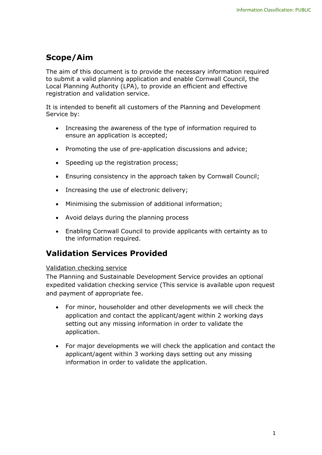# <span id="page-2-0"></span>**Scope/Aim**

The aim of this document is to provide the necessary information required to submit a valid planning application and enable Cornwall Council, the Local Planning Authority (LPA), to provide an efficient and effective registration and validation service.

It is intended to benefit all customers of the Planning and Development Service by:

- Increasing the awareness of the type of information required to ensure an application is accepted;
- Promoting the use of pre-application discussions and advice;
- Speeding up the registration process;
- Ensuring consistency in the approach taken by Cornwall Council;
- Increasing the use of electronic delivery;
- Minimising the submission of additional information;
- Avoid delays during the planning process
- Enabling Cornwall Council to provide applicants with certainty as to the information required.

# <span id="page-2-1"></span>**Validation Services Provided**

#### <span id="page-2-2"></span>Validation checking service

The Planning and Sustainable Development Service provides an optional expedited validation checking service (This service is available upon request and payment of appropriate fee.

- For minor, householder and other developments we will check the application and contact the applicant/agent within 2 working days setting out any missing information in order to validate the application.
- For major developments we will check the application and contact the applicant/agent within 3 working days setting out any missing information in order to validate the application.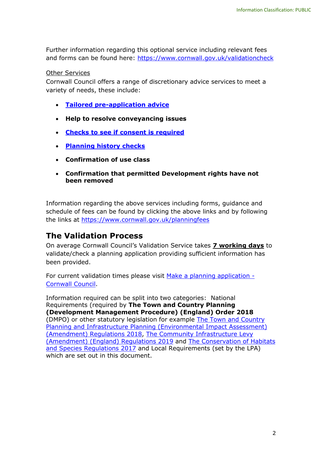Further information regarding this optional service including relevant fees and forms can be found here:<https://www.cornwall.gov.uk/validationcheck>

#### Other Services

Cornwall Council offers a range of discretionary advice services to meet a variety of needs, these include:

- **[Tailored pre-application advice](https://www.cornwall.gov.uk/planningpreapp)**
- **Help to resolve conveyancing issues**
- **[Checks to see if consent is required](https://www.cornwall.gov.uk/doineed)**
- **[Planning history checks](https://www.cornwall.gov.uk/planninghistory)**
- **Confirmation of use class**
- **Confirmation that permitted Development rights have not been removed**

Information regarding the above services including forms, guidance and schedule of fees can be found by clicking the above links and by following the links at<https://www.cornwall.gov.uk/planningfees>

# <span id="page-3-0"></span>**The Validation Process**

On average Cornwall Council's Validation Service takes **7 working days** to validate/check a planning application providing sufficient information has been provided.

For current validation times please visit [Make a planning application -](https://www.cornwall.gov.uk/planning-and-building-control/planning-applications/make-a-planning-application/) [Cornwall Council.](https://www.cornwall.gov.uk/planning-and-building-control/planning-applications/make-a-planning-application/)

Information required can be split into two categories: National Requirements (required by **The Town and Country Planning (Development Management Procedure) (England) Order 2018** (DMPO) or other statutory legislation for example [The Town and Country](http://www.legislation.gov.uk/uksi/2018/695/contents/made)  [Planning and Infrastructure Planning \(Environmental Impact Assessment\)](http://www.legislation.gov.uk/uksi/2018/695/contents/made)  [\(Amendment\) Regulations 2018,](http://www.legislation.gov.uk/uksi/2018/695/contents/made) [The Community Infrastructure Levy](http://www.legislation.gov.uk/ukdsi/2019/9780111185582/contents)  [\(Amendment\) \(England\) Regulations 2019](http://www.legislation.gov.uk/ukdsi/2019/9780111185582/contents) and [The Conservation of Habitats](http://www.legislation.gov.uk/uksi/2017/1012/contents/made)  [and Species Regulations 2017](http://www.legislation.gov.uk/uksi/2017/1012/contents/made) and Local Requirements (set by the LPA) which are set out in this document.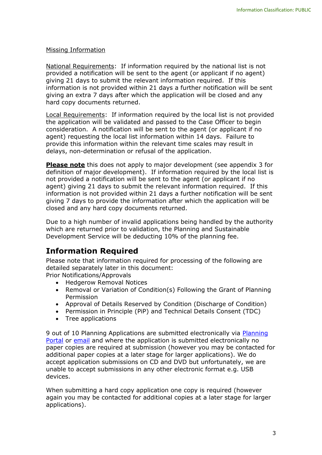#### <span id="page-4-0"></span>Missing Information

National Requirements: If information required by the national list is not provided a notification will be sent to the agent (or applicant if no agent) giving 21 days to submit the relevant information required. If this information is not provided within 21 days a further notification will be sent giving an extra 7 days after which the application will be closed and any hard copy documents returned.

Local Requirements: If information required by the local list is not provided the application will be validated and passed to the Case Officer to begin consideration. A notification will be sent to the agent (or applicant if no agent) requesting the local list information within 14 days. Failure to provide this information within the relevant time scales may result in delays, non-determination or refusal of the application.

**Please note** this does not apply to major development (see appendix 3 for definition of major development). If information required by the local list is not provided a notification will be sent to the agent (or applicant if no agent) giving 21 days to submit the relevant information required. If this information is not provided within 21 days a further notification will be sent giving 7 days to provide the information after which the application will be closed and any hard copy documents returned.

Due to a high number of invalid applications being handled by the authority which are returned prior to validation, the Planning and Sustainable Development Service will be deducting 10% of the planning fee.

# <span id="page-4-1"></span>**Information Required**

Please note that information required for processing of the following are detailed separately later in this document:

Prior Notifications/Approvals

- Hedgerow Removal Notices
- Removal or Variation of Condition(s) Following the Grant of Planning Permission
- Approval of Details Reserved by Condition (Discharge of Condition)
- Permission in Principle (PiP) and Technical Details Consent (TDC)
- Tree applications

9 out of 10 [Planning](https://www.planningportal.co.uk/applications) Applications are submitted electronically via Planning [Portal](https://www.planningportal.co.uk/applications) or [email](https://www.cornwall.gov.uk/submitplanning) and where the application is submitted electronically no paper copies are required at submission (however you may be contacted for additional paper copies at a later stage for larger applications). We do accept application submissions on CD and DVD but unfortunately, we are unable to accept submissions in any other electronic format e.g. USB devices.

When submitting a hard copy application one copy is required (however again you may be contacted for additional copies at a later stage for larger applications).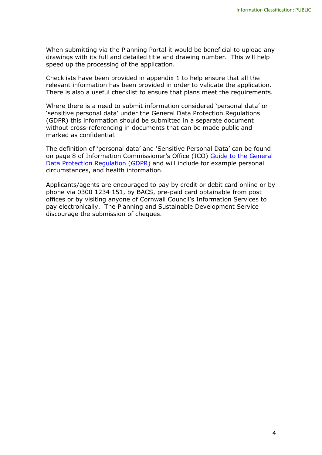When submitting via the Planning Portal it would be beneficial to upload any drawings with its full and detailed title and drawing number. This will help speed up the processing of the application.

Checklists have been provided in appendix 1 to help ensure that all the relevant information has been provided in order to validate the application. There is also a useful checklist to ensure that plans meet the requirements.

Where there is a need to submit information considered 'personal data' or 'sensitive personal data' under the General Data Protection Regulations (GDPR) this information should be submitted in a separate document without cross-referencing in documents that can be made public and marked as confidential.

The definition of 'personal data' and 'Sensitive Personal Data' can be found on page 8 of Information Commissioner's Office (ICO) [Guide to the General](https://assets.publishing.service.gov.uk/government/uploads/system/uploads/attachment_data/file/711097/guide-to-the-general-data-protection-regulation-gdpr-1-0.pdf)  [Data Protection Regulation \(GDPR\)](https://assets.publishing.service.gov.uk/government/uploads/system/uploads/attachment_data/file/711097/guide-to-the-general-data-protection-regulation-gdpr-1-0.pdf) and will include for example personal circumstances, and health information.

Applicants/agents are encouraged to pay by credit or debit card online or by phone via 0300 1234 151, by BACS, pre-paid card obtainable from post offices or by visiting anyone of Cornwall Council's Information Services to pay electronically. The Planning and Sustainable Development Service discourage the submission of cheques.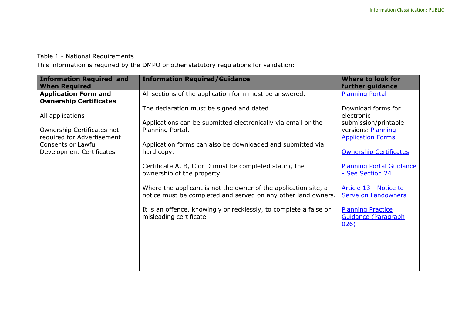# Table 1 - National Requirements

This information is required by the DMPO or other statutory regulations for validation:

<span id="page-6-0"></span>

| <b>Information Required and</b><br><b>When Required</b>      | <b>Information Required/Guidance</b>                                                                                             | <b>Where to look for</b><br>further guidance                   |
|--------------------------------------------------------------|----------------------------------------------------------------------------------------------------------------------------------|----------------------------------------------------------------|
| <b>Application Form and</b><br><b>Ownership Certificates</b> | All sections of the application form must be answered.                                                                           | <b>Planning Portal</b>                                         |
| All applications                                             | The declaration must be signed and dated.                                                                                        | Download forms for<br>electronic                               |
| Ownership Certificates not                                   | Applications can be submitted electronically via email or the<br>Planning Portal.                                                | submission/printable<br>versions: Planning                     |
| required for Advertisement<br><b>Consents or Lawful</b>      | Application forms can also be downloaded and submitted via                                                                       | <b>Application Forms</b>                                       |
| Development Certificates                                     | hard copy.                                                                                                                       | <b>Ownership Certificates</b>                                  |
|                                                              | Certificate A, B, C or D must be completed stating the<br>ownership of the property.                                             | <b>Planning Portal Guidance</b><br>- See Section 24            |
|                                                              | Where the applicant is not the owner of the application site, a<br>notice must be completed and served on any other land owners. | Article 13 - Notice to<br><b>Serve on Landowners</b>           |
|                                                              | It is an offence, knowingly or recklessly, to complete a false or<br>misleading certificate.                                     | <b>Planning Practice</b><br><b>Guidance (Paragraph</b><br>026) |
|                                                              |                                                                                                                                  |                                                                |
|                                                              |                                                                                                                                  |                                                                |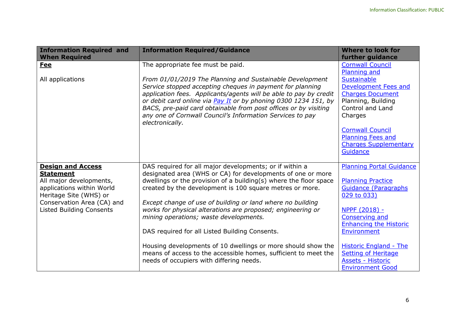| <b>Information Required and</b><br><b>When Required</b>                        | <b>Information Required/Guidance</b>                                                                                                                                                                                                                                                                                                                                                                             | <b>Where to look for</b><br>further guidance                                                                                                                                             |
|--------------------------------------------------------------------------------|------------------------------------------------------------------------------------------------------------------------------------------------------------------------------------------------------------------------------------------------------------------------------------------------------------------------------------------------------------------------------------------------------------------|------------------------------------------------------------------------------------------------------------------------------------------------------------------------------------------|
| <b>Fee</b>                                                                     | The appropriate fee must be paid.                                                                                                                                                                                                                                                                                                                                                                                | <b>Cornwall Council</b><br>Planning and                                                                                                                                                  |
| All applications                                                               | From 01/01/2019 The Planning and Sustainable Development<br>Service stopped accepting cheques in payment for planning<br>application fees. Applicants/agents will be able to pay by credit<br>or debit card online via Pay It or by phoning 0300 1234 151, by<br>BACS, pre-paid card obtainable from post offices or by visiting<br>any one of Cornwall Council's Information Services to pay<br>electronically. | <b>Sustainable</b><br><b>Development Fees and</b><br><b>Charges Document</b><br>Planning, Building<br>Control and Land<br>Charges<br><b>Cornwall Council</b><br><b>Planning Fees and</b> |
|                                                                                |                                                                                                                                                                                                                                                                                                                                                                                                                  | <b>Charges Supplementary</b><br>Guidance                                                                                                                                                 |
| <b>Design and Access</b><br><b>Statement</b>                                   | DAS required for all major developments; or if within a<br>designated area (WHS or CA) for developments of one or more                                                                                                                                                                                                                                                                                           | <b>Planning Portal Guidance</b>                                                                                                                                                          |
| All major developments,<br>applications within World<br>Heritage Site (WHS) or | dwellings or the provision of a building(s) where the floor space<br>created by the development is 100 square metres or more.                                                                                                                                                                                                                                                                                    | <b>Planning Practice</b><br><b>Guidance (Paragraphs</b><br>029 to 033)                                                                                                                   |
| Conservation Area (CA) and<br><b>Listed Building Consents</b>                  | Except change of use of building or land where no building<br>works for physical alterations are proposed; engineering or<br>mining operations; waste developments.                                                                                                                                                                                                                                              | NPPF (2018) -<br>Conserving and<br><b>Enhancing the Historic</b>                                                                                                                         |
|                                                                                | DAS required for all Listed Building Consents.                                                                                                                                                                                                                                                                                                                                                                   | Environment                                                                                                                                                                              |
|                                                                                | Housing developments of 10 dwellings or more should show the<br>means of access to the accessible homes, sufficient to meet the<br>needs of occupiers with differing needs.                                                                                                                                                                                                                                      | <b>Historic England - The</b><br><b>Setting of Heritage</b><br>Assets - Historic<br><b>Environment Good</b>                                                                              |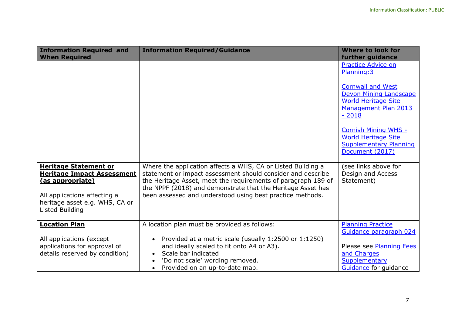| <b>Information Required and</b><br><b>When Required</b>                                                                                                                                  | <b>Information Required/Guidance</b>                                                                                                                                                                                                                                                                                     | Where to look for<br>further guidance                                                                                      |
|------------------------------------------------------------------------------------------------------------------------------------------------------------------------------------------|--------------------------------------------------------------------------------------------------------------------------------------------------------------------------------------------------------------------------------------------------------------------------------------------------------------------------|----------------------------------------------------------------------------------------------------------------------------|
|                                                                                                                                                                                          |                                                                                                                                                                                                                                                                                                                          | <b>Practice Advice on</b><br>Planning: 3                                                                                   |
|                                                                                                                                                                                          |                                                                                                                                                                                                                                                                                                                          | <b>Cornwall and West</b><br>Devon Mining Landscape<br><b>World Heritage Site</b><br><b>Management Plan 2013</b><br>$-2018$ |
|                                                                                                                                                                                          |                                                                                                                                                                                                                                                                                                                          | <b>Cornish Mining WHS -</b><br><b>World Heritage Site</b><br><b>Supplementary Planning</b><br>Document (2017)              |
| <b>Heritage Statement or</b><br><b>Heritage Impact Assessment</b><br><u>(as appropriate)</u><br>All applications affecting a<br>heritage asset e.g. WHS, CA or<br><b>Listed Building</b> | Where the application affects a WHS, CA or Listed Building a<br>statement or impact assessment should consider and describe<br>the Heritage Asset, meet the requirements of paragraph 189 of<br>the NPPF (2018) and demonstrate that the Heritage Asset has<br>been assessed and understood using best practice methods. | (see links above for<br>Design and Access<br>Statement)                                                                    |
| <b>Location Plan</b>                                                                                                                                                                     | A location plan must be provided as follows:                                                                                                                                                                                                                                                                             | <b>Planning Practice</b><br>Guidance paragraph 024                                                                         |
| All applications (except<br>applications for approval of<br>details reserved by condition)                                                                                               | Provided at a metric scale (usually 1:2500 or 1:1250)<br>$\bullet$<br>and ideally scaled to fit onto A4 or A3).<br>Scale bar indicated<br>'Do not scale' wording removed.<br>Provided on an up-to-date map.                                                                                                              | Please see Planning Fees<br>and Charges<br>Supplementary<br>Guidance for guidance                                          |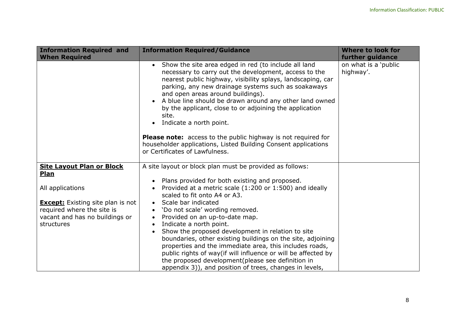| <b>Information Required and</b><br><b>When Required</b>                                                                                                                                | <b>Information Required/Guidance</b>                                                                                                                                                                                                                                                                                                                                                                                                                                                                                                                                                                                                                                                                                                                          | <b>Where to look for</b><br>further guidance |
|----------------------------------------------------------------------------------------------------------------------------------------------------------------------------------------|---------------------------------------------------------------------------------------------------------------------------------------------------------------------------------------------------------------------------------------------------------------------------------------------------------------------------------------------------------------------------------------------------------------------------------------------------------------------------------------------------------------------------------------------------------------------------------------------------------------------------------------------------------------------------------------------------------------------------------------------------------------|----------------------------------------------|
|                                                                                                                                                                                        | Show the site area edged in red (to include all land<br>$\bullet$<br>necessary to carry out the development, access to the<br>nearest public highway, visibility splays, landscaping, car<br>parking, any new drainage systems such as soakaways<br>and open areas around buildings).<br>A blue line should be drawn around any other land owned<br>by the applicant, close to or adjoining the application<br>site.<br>Indicate a north point.<br>$\bullet$<br><b>Please note:</b> access to the public highway is not required for<br>householder applications, Listed Building Consent applications<br>or Certificates of Lawfulness.                                                                                                                      | on what is a 'public<br>highway'.            |
| <b>Site Layout Plan or Block</b><br>Plan<br>All applications<br><b>Except:</b> Existing site plan is not<br>required where the site is<br>vacant and has no buildings or<br>structures | A site layout or block plan must be provided as follows:<br>Plans provided for both existing and proposed.<br>Provided at a metric scale (1:200 or 1:500) and ideally<br>scaled to fit onto A4 or A3.<br>Scale bar indicated<br>$\bullet$<br>'Do not scale' wording removed.<br>$\bullet$<br>Provided on an up-to-date map.<br>$\bullet$<br>Indicate a north point.<br>$\bullet$<br>Show the proposed development in relation to site<br>$\bullet$<br>boundaries, other existing buildings on the site, adjoining<br>properties and the immediate area, this includes roads,<br>public rights of way(if will influence or will be affected by<br>the proposed development(please see definition in<br>appendix 3)), and position of trees, changes in levels, |                                              |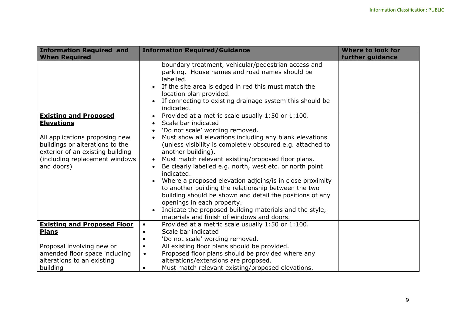| <b>Information Required and</b>                                                                                                                                                                            | <b>Information Required/Guidance</b>                                                                                                                                                                                                                                                                                                                                                                                                                                                                                                                                                                                                                                                                                                        | <b>Where to look for</b> |
|------------------------------------------------------------------------------------------------------------------------------------------------------------------------------------------------------------|---------------------------------------------------------------------------------------------------------------------------------------------------------------------------------------------------------------------------------------------------------------------------------------------------------------------------------------------------------------------------------------------------------------------------------------------------------------------------------------------------------------------------------------------------------------------------------------------------------------------------------------------------------------------------------------------------------------------------------------------|--------------------------|
| <b>When Required</b>                                                                                                                                                                                       |                                                                                                                                                                                                                                                                                                                                                                                                                                                                                                                                                                                                                                                                                                                                             | further guidance         |
|                                                                                                                                                                                                            | boundary treatment, vehicular/pedestrian access and<br>parking. House names and road names should be<br>labelled.<br>If the site area is edged in red this must match the<br>location plan provided.<br>If connecting to existing drainage system this should be<br>$\bullet$<br>indicated.                                                                                                                                                                                                                                                                                                                                                                                                                                                 |                          |
| <b>Existing and Proposed</b><br><b>Elevations</b><br>All applications proposing new<br>buildings or alterations to the<br>exterior of an existing building<br>(including replacement windows<br>and doors) | Provided at a metric scale usually 1:50 or 1:100.<br>$\bullet$<br>Scale bar indicated<br>'Do not scale' wording removed.<br>Must show all elevations including any blank elevations<br>(unless visibility is completely obscured e.g. attached to<br>another building).<br>Must match relevant existing/proposed floor plans.<br>$\bullet$<br>Be clearly labelled e.g. north, west etc. or north point<br>indicated.<br>Where a proposed elevation adjoins/is in close proximity<br>to another building the relationship between the two<br>building should be shown and detail the positions of any<br>openings in each property.<br>Indicate the proposed building materials and the style,<br>materials and finish of windows and doors. |                          |
| <b>Existing and Proposed Floor</b>                                                                                                                                                                         | Provided at a metric scale usually 1:50 or 1:100.<br>$\bullet$                                                                                                                                                                                                                                                                                                                                                                                                                                                                                                                                                                                                                                                                              |                          |
| <b>Plans</b>                                                                                                                                                                                               | Scale bar indicated<br>$\bullet$                                                                                                                                                                                                                                                                                                                                                                                                                                                                                                                                                                                                                                                                                                            |                          |
|                                                                                                                                                                                                            | 'Do not scale' wording removed.<br>$\bullet$                                                                                                                                                                                                                                                                                                                                                                                                                                                                                                                                                                                                                                                                                                |                          |
| Proposal involving new or                                                                                                                                                                                  | All existing floor plans should be provided.<br>$\bullet$                                                                                                                                                                                                                                                                                                                                                                                                                                                                                                                                                                                                                                                                                   |                          |
| amended floor space including                                                                                                                                                                              | Proposed floor plans should be provided where any<br>$\bullet$                                                                                                                                                                                                                                                                                                                                                                                                                                                                                                                                                                                                                                                                              |                          |
| alterations to an existing                                                                                                                                                                                 | alterations/extensions are proposed.                                                                                                                                                                                                                                                                                                                                                                                                                                                                                                                                                                                                                                                                                                        |                          |
| building                                                                                                                                                                                                   | Must match relevant existing/proposed elevations.<br>$\bullet$                                                                                                                                                                                                                                                                                                                                                                                                                                                                                                                                                                                                                                                                              |                          |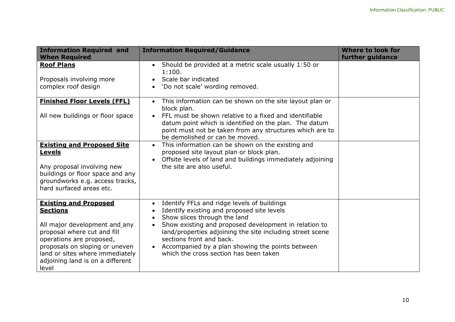| <b>Information Required and</b><br><b>When Required</b>                                                                                                                                                                                                       | <b>Information Required/Guidance</b>                                                                                                                                                                                                                                                                                                                                                   | <b>Where to look for</b><br>further guidance |
|---------------------------------------------------------------------------------------------------------------------------------------------------------------------------------------------------------------------------------------------------------------|----------------------------------------------------------------------------------------------------------------------------------------------------------------------------------------------------------------------------------------------------------------------------------------------------------------------------------------------------------------------------------------|----------------------------------------------|
| <b>Roof Plans</b><br>Proposals involving more<br>complex roof design                                                                                                                                                                                          | Should be provided at a metric scale usually 1:50 or<br>$\bullet$<br>1:100.<br>Scale bar indicated<br>'Do not scale' wording removed.                                                                                                                                                                                                                                                  |                                              |
| <b>Finished Floor Levels (FFL)</b><br>All new buildings or floor space                                                                                                                                                                                        | This information can be shown on the site layout plan or<br>$\bullet$<br>block plan.<br>FFL must be shown relative to a fixed and identifiable<br>datum point which is identified on the plan. The datum<br>point must not be taken from any structures which are to<br>be demolished or can be moved.                                                                                 |                                              |
| <b>Existing and Proposed Site</b><br><u>Levels</u><br>Any proposal involving new<br>buildings or floor space and any<br>groundworks e.g. access tracks,<br>hard surfaced areas etc.                                                                           | This information can be shown on the existing and<br>$\bullet$<br>proposed site layout plan or block plan.<br>Offsite levels of land and buildings immediately adjoining<br>the site are also useful.                                                                                                                                                                                  |                                              |
| <b>Existing and Proposed</b><br><b>Sections</b><br>All major development and_any<br>proposal where cut and fill<br>operations are proposed,<br>proposals on sloping or uneven<br>land or sites where immediately<br>adjoining land is on a different<br>level | Identify FFLs and ridge levels of buildings<br>$\bullet$<br>Identify existing and proposed site levels<br>Show slices through the land<br>Show existing and proposed development in relation to<br>land/properties adjoining the site including street scene<br>sections front and back.<br>Accompanied by a plan showing the points between<br>which the cross section has been taken |                                              |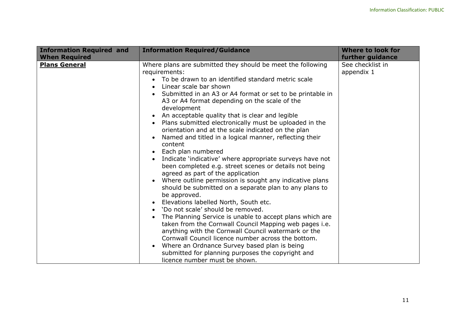| <b>Information Required and</b><br><b>When Required</b> | <b>Information Required/Guidance</b>                                                                                                                                                                                                                                                                                                                                                                                                                                                                                                                                                                                                                                                                                                                                                                                                                                                                                                                                                                                                                                                                                                                                                                                                                                                                                                                    | <b>Where to look for</b><br>further guidance |
|---------------------------------------------------------|---------------------------------------------------------------------------------------------------------------------------------------------------------------------------------------------------------------------------------------------------------------------------------------------------------------------------------------------------------------------------------------------------------------------------------------------------------------------------------------------------------------------------------------------------------------------------------------------------------------------------------------------------------------------------------------------------------------------------------------------------------------------------------------------------------------------------------------------------------------------------------------------------------------------------------------------------------------------------------------------------------------------------------------------------------------------------------------------------------------------------------------------------------------------------------------------------------------------------------------------------------------------------------------------------------------------------------------------------------|----------------------------------------------|
| <b>Plans General</b>                                    | Where plans are submitted they should be meet the following<br>requirements:<br>• To be drawn to an identified standard metric scale<br>Linear scale bar shown<br>Submitted in an A3 or A4 format or set to be printable in<br>A3 or A4 format depending on the scale of the<br>development<br>An acceptable quality that is clear and legible<br>Plans submitted electronically must be uploaded in the<br>$\bullet$<br>orientation and at the scale indicated on the plan<br>Named and titled in a logical manner, reflecting their<br>content<br>Each plan numbered<br>$\bullet$<br>Indicate 'indicative' where appropriate surveys have not<br>been completed e.g. street scenes or details not being<br>agreed as part of the application<br>Where outline permission is sought any indicative plans<br>should be submitted on a separate plan to any plans to<br>be approved.<br>Elevations labelled North, South etc.<br>'Do not scale' should be removed.<br>The Planning Service is unable to accept plans which are<br>$\bullet$<br>taken from the Cornwall Council Mapping web pages i.e.<br>anything with the Cornwall Council watermark or the<br>Cornwall Council licence number across the bottom.<br>Where an Ordnance Survey based plan is being<br>submitted for planning purposes the copyright and<br>licence number must be shown. | See checklist in<br>appendix 1               |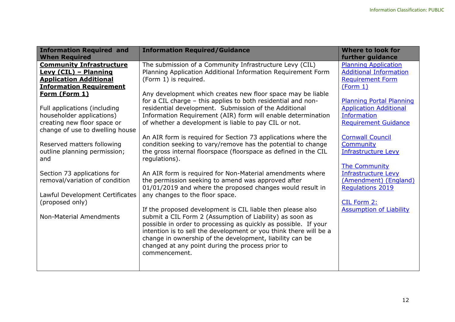| <b>Information Required and</b><br><b>When Required</b> | <b>Information Required/Guidance</b>                                                                                                                                                                                                                                                                                                                                                            | Where to look for<br>further guidance |
|---------------------------------------------------------|-------------------------------------------------------------------------------------------------------------------------------------------------------------------------------------------------------------------------------------------------------------------------------------------------------------------------------------------------------------------------------------------------|---------------------------------------|
| <b>Community Infrastructure</b>                         | The submission of a Community Infrastructure Levy (CIL)                                                                                                                                                                                                                                                                                                                                         | <b>Planning Application</b>           |
| <b>Levy (CIL) - Planning</b>                            | Planning Application Additional Information Requirement Form                                                                                                                                                                                                                                                                                                                                    | <b>Additional Information</b>         |
| <b>Application Additional</b>                           | (Form 1) is required.                                                                                                                                                                                                                                                                                                                                                                           | <b>Requirement Form</b>               |
| <b>Information Requirement</b>                          | Any development which creates new floor space may be liable                                                                                                                                                                                                                                                                                                                                     | (Form 1)                              |
| Form (Form 1)                                           | for a CIL charge - this applies to both residential and non-                                                                                                                                                                                                                                                                                                                                    | Planning Portal Planning              |
| Full applications (including                            | residential development. Submission of the Additional                                                                                                                                                                                                                                                                                                                                           | <b>Application Additional</b>         |
| householder applications)                               | Information Requirement (AIR) form will enable determination                                                                                                                                                                                                                                                                                                                                    | <b>Information</b>                    |
| creating new floor space or                             | of whether a development is liable to pay CIL or not.                                                                                                                                                                                                                                                                                                                                           | <b>Requirement Guidance</b>           |
| change of use to dwelling house                         | An AIR form is required for Section 73 applications where the                                                                                                                                                                                                                                                                                                                                   | <b>Cornwall Council</b>               |
| Reserved matters following                              | condition seeking to vary/remove has the potential to change                                                                                                                                                                                                                                                                                                                                    | Community                             |
| outline planning permission;                            | the gross internal floorspace (floorspace as defined in the CIL                                                                                                                                                                                                                                                                                                                                 | <b>Infrastructure Levy</b>            |
| and                                                     | regulations).                                                                                                                                                                                                                                                                                                                                                                                   | <b>The Community</b>                  |
| Section 73 applications for                             | An AIR form is required for Non-Material amendments where                                                                                                                                                                                                                                                                                                                                       | <b>Infrastructure Levy</b>            |
| removal/variation of condition                          | the permission seeking to amend was approved after                                                                                                                                                                                                                                                                                                                                              | (Amendment) (England)                 |
| Lawful Development Certificates                         | 01/01/2019 and where the proposed changes would result in                                                                                                                                                                                                                                                                                                                                       | <b>Regulations 2019</b>               |
| (proposed only)                                         | any changes to the floor space.                                                                                                                                                                                                                                                                                                                                                                 | CIL Form 2:                           |
| <b>Non-Material Amendments</b>                          | If the proposed development is CIL liable then please also<br>submit a CIL Form 2 (Assumption of Liability) as soon as<br>possible in order to processing as quickly as possible. If your<br>intention is to sell the development or you think there will be a<br>change in ownership of the development, liability can be<br>changed at any point during the process prior to<br>commencement. | <b>Assumption of Liability</b>        |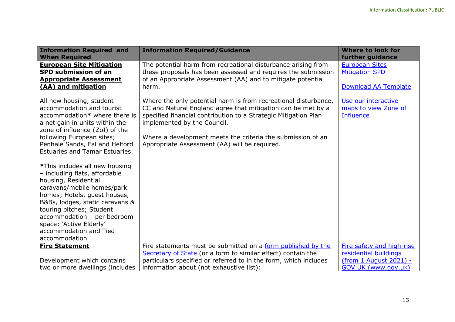| <b>Information Required and</b><br><b>When Required</b>                                                                                                                                                                                                                                                                   | <b>Information Required/Guidance</b>                                                                                                                                                                                                                                                                                                              | Where to look for<br>further guidance                                         |
|---------------------------------------------------------------------------------------------------------------------------------------------------------------------------------------------------------------------------------------------------------------------------------------------------------------------------|---------------------------------------------------------------------------------------------------------------------------------------------------------------------------------------------------------------------------------------------------------------------------------------------------------------------------------------------------|-------------------------------------------------------------------------------|
| <b>European Site Mitigation</b><br><b>SPD submission of an</b><br><b>Appropriate Assessment</b><br>(AA) and mitigation                                                                                                                                                                                                    | The potential harm from recreational disturbance arising from<br>these proposals has been assessed and requires the submission<br>of an Appropriate Assessment (AA) and to mitigate potential<br>harm.                                                                                                                                            | <b>European Sites</b><br><b>Mitigation SPD</b><br><b>Download AA Template</b> |
| All new housing, student<br>accommodation and tourist<br>accommodation* where there is<br>a net gain in units within the<br>zone of influence (ZoI) of the<br>following European sites;<br>Penhale Sands, Fal and Helford<br><b>Estuaries and Tamar Estuaries.</b>                                                        | Where the only potential harm is from recreational disturbance,<br>CC and Natural England agree that mitigation can be met by a<br>specified financial contribution to a Strategic Mitigation Plan<br>implemented by the Council.<br>Where a development meets the criteria the submission of an<br>Appropriate Assessment (AA) will be required. | Use our interactive<br>maps to view Zone of<br><b>Influence</b>               |
| *This includes all new housing<br>- including flats, affordable<br>housing, Residential<br>caravans/mobile homes/park<br>homes; Hotels, quest houses,<br>B&Bs, lodges, static caravans &<br>touring pitches; Student<br>accommodation - per bedroom<br>space; 'Active Elderly'<br>accommodation and Tied<br>accommodation |                                                                                                                                                                                                                                                                                                                                                   |                                                                               |
| <b>Fire Statement</b>                                                                                                                                                                                                                                                                                                     | Fire statements must be submitted on a form published by the<br>Secretary of State (or a form to similar effect) contain the                                                                                                                                                                                                                      | Fire safety and high-rise<br>residential buildings                            |
| Development which contains                                                                                                                                                                                                                                                                                                | particulars specified or referred to in the form, which includes                                                                                                                                                                                                                                                                                  | (from 1 August 2021) -                                                        |
| two or more dwellings (includes                                                                                                                                                                                                                                                                                           | information about (not exhaustive list):                                                                                                                                                                                                                                                                                                          | GOV.UK (www.gov.uk)                                                           |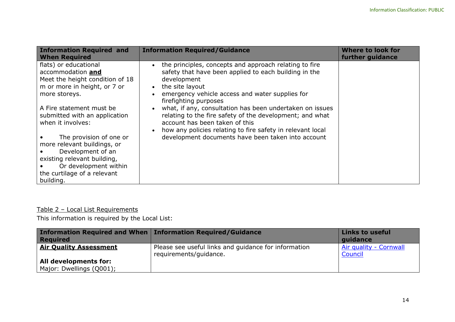| <b>Information Required and</b><br><b>When Required</b>                                                                                                                                      | <b>Information Required/Guidance</b>                                                                                                                                                                                                                                       | <b>Where to look for</b><br>further guidance |
|----------------------------------------------------------------------------------------------------------------------------------------------------------------------------------------------|----------------------------------------------------------------------------------------------------------------------------------------------------------------------------------------------------------------------------------------------------------------------------|----------------------------------------------|
| flats) or educational<br>accommodation and<br>Meet the height condition of 18<br>m or more in height, or 7 or<br>more storeys.                                                               | the principles, concepts and approach relating to fire<br>safety that have been applied to each building in the<br>development<br>the site layout<br>emergency vehicle access and water supplies for<br>firefighting purposes                                              |                                              |
| A Fire statement must be<br>submitted with an application<br>when it involves:<br>The provision of one or<br>more relevant buildings, or<br>Development of an<br>existing relevant building, | what, if any, consultation has been undertaken on issues<br>relating to the fire safety of the development; and what<br>account has been taken of this<br>how any policies relating to fire safety in relevant local<br>development documents have been taken into account |                                              |
| Or development within<br>the curtilage of a relevant<br>building.                                                                                                                            |                                                                                                                                                                                                                                                                            |                                              |

# Table 2 – Local List Requirements

This information is required by the Local List:

<span id="page-15-0"></span>

| Information Required and When   Information Required/Guidance<br><b>Required</b> |                                                                                | <b>Links to useful</b><br>quidance |
|----------------------------------------------------------------------------------|--------------------------------------------------------------------------------|------------------------------------|
| <b>Air Quality Assessment</b>                                                    | Please see useful links and guidance for information<br>requirements/guidance. | Air quality - Cornwall<br>Council  |
| All developments for:<br>Major: Dwellings (Q001);                                |                                                                                |                                    |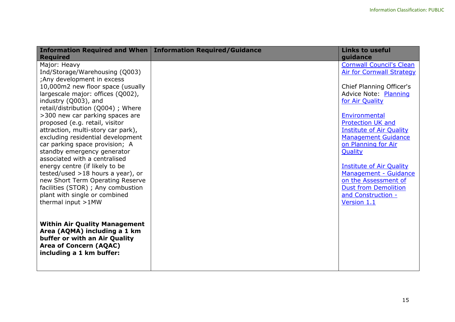|                                                                                                                                                                                                                                                                                                                                                                                                                                                                                                                                                                                                                                                                                | Information Required and When   Information Required/Guidance | <b>Links to useful</b>                                                                                                                                                                                                                                                                                                                                                                                                                                  |
|--------------------------------------------------------------------------------------------------------------------------------------------------------------------------------------------------------------------------------------------------------------------------------------------------------------------------------------------------------------------------------------------------------------------------------------------------------------------------------------------------------------------------------------------------------------------------------------------------------------------------------------------------------------------------------|---------------------------------------------------------------|---------------------------------------------------------------------------------------------------------------------------------------------------------------------------------------------------------------------------------------------------------------------------------------------------------------------------------------------------------------------------------------------------------------------------------------------------------|
| <b>Required</b><br>Major: Heavy<br>Ind/Storage/Warehousing (Q003)<br>; Any development in excess<br>10,000m2 new floor space (usually<br>largescale major: offices (Q002),<br>industry (Q003), and<br>retail/distribution (Q004) ; Where<br>>300 new car parking spaces are<br>proposed (e.g. retail, visitor<br>attraction, multi-story car park),<br>excluding residential development<br>car parking space provision; A<br>standby emergency generator<br>associated with a centralised<br>energy centre (if likely to be<br>tested/used $>18$ hours a year), or<br>new Short Term Operating Reserve<br>facilities (STOR) ; Any combustion<br>plant with single or combined |                                                               | guidance<br><b>Cornwall Council's Clean</b><br><b>Air for Cornwall Strategy</b><br>Chief Planning Officer's<br><b>Advice Note: Planning</b><br>for Air Quality<br>Environmental<br><b>Protection UK and</b><br><b>Institute of Air Quality</b><br><b>Management Guidance</b><br>on Planning for Air<br>Quality<br><b>Institute of Air Quality</b><br>Management - Guidance<br>on the Assessment of<br><b>Dust from Demolition</b><br>and Construction - |
| thermal input >1MW<br><b>Within Air Quality Management</b><br>Area (AQMA) including a 1 km<br>buffer or with an Air Quality<br>Area of Concern (AQAC)<br>including a 1 km buffer:                                                                                                                                                                                                                                                                                                                                                                                                                                                                                              |                                                               | Version 1.1                                                                                                                                                                                                                                                                                                                                                                                                                                             |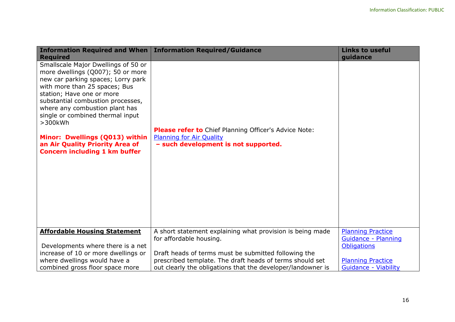| <b>Information Required and When</b>                                                                                                                                                                                                                                                                                                                                                                               | <b>Information Required/Guidance</b>                                                                                             | <b>Links to useful</b>      |
|--------------------------------------------------------------------------------------------------------------------------------------------------------------------------------------------------------------------------------------------------------------------------------------------------------------------------------------------------------------------------------------------------------------------|----------------------------------------------------------------------------------------------------------------------------------|-----------------------------|
| <b>Required</b>                                                                                                                                                                                                                                                                                                                                                                                                    |                                                                                                                                  | guidance                    |
| Smallscale Major Dwellings of 50 or<br>more dwellings (Q007); 50 or more<br>new car parking spaces; Lorry park<br>with more than 25 spaces; Bus<br>station; Have one or more<br>substantial combustion processes,<br>where any combustion plant has<br>single or combined thermal input<br>$>300$ kWh<br>Minor: Dwellings (Q013) within<br>an Air Quality Priority Area of<br><b>Concern including 1 km buffer</b> | Please refer to Chief Planning Officer's Advice Note:<br><b>Planning for Air Quality</b><br>- such development is not supported. |                             |
| <b>Affordable Housing Statement</b>                                                                                                                                                                                                                                                                                                                                                                                | A short statement explaining what provision is being made                                                                        | <b>Planning Practice</b>    |
|                                                                                                                                                                                                                                                                                                                                                                                                                    | for affordable housing.                                                                                                          | Guidance - Planning         |
| Developments where there is a net                                                                                                                                                                                                                                                                                                                                                                                  |                                                                                                                                  | <b>Obligations</b>          |
| increase of 10 or more dwellings or                                                                                                                                                                                                                                                                                                                                                                                | Draft heads of terms must be submitted following the                                                                             |                             |
| where dwellings would have a                                                                                                                                                                                                                                                                                                                                                                                       | prescribed template. The draft heads of terms should set                                                                         | <b>Planning Practice</b>    |
| combined gross floor space more                                                                                                                                                                                                                                                                                                                                                                                    | out clearly the obligations that the developer/landowner is                                                                      | <b>Guidance - Viability</b> |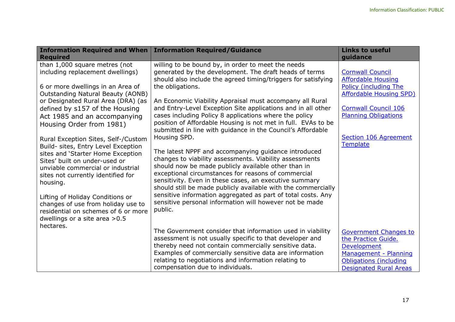| <b>Information Required and When</b>                                                                                                                                                                                                                                                                                                                                                                                                                                                                                                     | <b>Information Required/Guidance</b>                                                                                                                                                                                                                                                                                                                                                                                                                                                                                                                                                                                                                                                                                                                                     | <b>Links to useful</b>                                                                                                                                                                                                                |
|------------------------------------------------------------------------------------------------------------------------------------------------------------------------------------------------------------------------------------------------------------------------------------------------------------------------------------------------------------------------------------------------------------------------------------------------------------------------------------------------------------------------------------------|--------------------------------------------------------------------------------------------------------------------------------------------------------------------------------------------------------------------------------------------------------------------------------------------------------------------------------------------------------------------------------------------------------------------------------------------------------------------------------------------------------------------------------------------------------------------------------------------------------------------------------------------------------------------------------------------------------------------------------------------------------------------------|---------------------------------------------------------------------------------------------------------------------------------------------------------------------------------------------------------------------------------------|
| <b>Required</b><br>than 1,000 square metres (not<br>including replacement dwellings)<br>6 or more dwellings in an Area of<br><b>Outstanding Natural Beauty (AONB)</b><br>or Designated Rural Area (DRA) (as<br>defined by s157 of the Housing<br>Act 1985 and an accompanying<br>Housing Order from 1981)<br>Rural Exception Sites, Self-/Custom<br>Build- sites, Entry Level Exception<br>sites and 'Starter Home Exception<br>Sites' built on under-used or<br>unviable commercial or industrial<br>sites not currently identified for | willing to be bound by, in order to meet the needs<br>generated by the development. The draft heads of terms<br>should also include the agreed timing/triggers for satisfying<br>the obligations.<br>An Economic Viability Appraisal must accompany all Rural<br>and Entry-Level Exception Site applications and in all other<br>cases including Policy 8 applications where the policy<br>position of Affordable Housing is not met in full. EVAs to be<br>submitted in line with guidance in the Council's Affordable<br>Housing SPD.<br>The latest NPPF and accompanying guidance introduced<br>changes to viability assessments. Viability assessments<br>should now be made publicly available other than in<br>exceptional circumstances for reasons of commercial | guidance<br><b>Cornwall Council</b><br><b>Affordable Housing</b><br><b>Policy (including The</b><br><b>Affordable Housing SPD)</b><br><b>Cornwall Council 106</b><br><b>Planning Obligations</b><br>Section 106 Agreement<br>Template |
| housing.<br>Lifting of Holiday Conditions or<br>changes of use from holiday use to<br>residential on schemes of 6 or more<br>dwellings or a site area $>0.5$<br>hectares.                                                                                                                                                                                                                                                                                                                                                                | sensitivity. Even in these cases, an executive summary<br>should still be made publicly available with the commercially<br>sensitive information aggregated as part of total costs. Any<br>sensitive personal information will however not be made<br>public.<br>The Government consider that information used in viability<br>assessment is not usually specific to that developer and<br>thereby need not contain commercially sensitive data.<br>Examples of commercially sensitive data are information<br>relating to negotiations and information relating to<br>compensation due to individuals.                                                                                                                                                                  | <b>Government Changes to</b><br>the Practice Guide.<br>Development<br>Management - Planning<br><b>Obligations (including</b><br><b>Designated Rural Areas</b>                                                                         |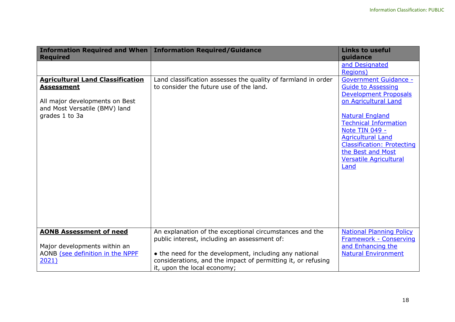|                                                                                                                                                                      | Information Required and When   Information Required/Guidance                                                                                                                                                                                                    | <b>Links to useful</b>                                                                                                                                                                                                                                                                                                                |
|----------------------------------------------------------------------------------------------------------------------------------------------------------------------|------------------------------------------------------------------------------------------------------------------------------------------------------------------------------------------------------------------------------------------------------------------|---------------------------------------------------------------------------------------------------------------------------------------------------------------------------------------------------------------------------------------------------------------------------------------------------------------------------------------|
| <b>Required</b><br><b>Agricultural Land Classification</b><br><b>Assessment</b><br>All major developments on Best<br>and Most Versatile (BMV) land<br>grades 1 to 3a | Land classification assesses the quality of farmland in order<br>to consider the future use of the land.                                                                                                                                                         | guidance<br>and Designated<br><b>Regions</b> )<br><b>Government Guidance -</b><br><b>Guide to Assessing</b><br><b>Development Proposals</b><br>on Agricultural Land<br><b>Natural England</b><br><b>Technical Information</b><br>Note TIN 049 -<br><b>Agricultural Land</b><br><b>Classification: Protecting</b><br>the Best and Most |
|                                                                                                                                                                      |                                                                                                                                                                                                                                                                  | <b>Versatile Agricultural</b><br>Land                                                                                                                                                                                                                                                                                                 |
| <b>AONB Assessment of need</b><br>Major developments within an<br>AONB (see definition in the NPPE<br>2021)                                                          | An explanation of the exceptional circumstances and the<br>public interest, including an assessment of:<br>• the need for the development, including any national<br>considerations, and the impact of permitting it, or refusing<br>it, upon the local economy; | <b>National Planning Policy</b><br>Framework - Conserving<br>and Enhancing the<br><b>Natural Environment</b>                                                                                                                                                                                                                          |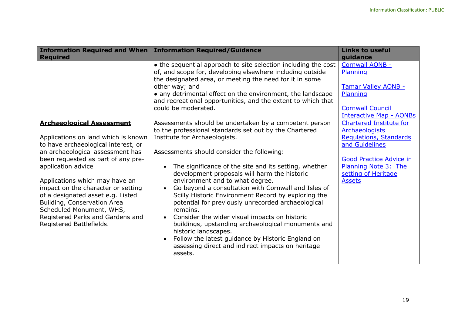| <b>Information Required and When</b><br><b>Required</b>                                                                                                                                                                                                                                                                                                                                                                                                | <b>Information Required/Guidance</b>                                                                                                                                                                                                                                                                                                                                                                                                                                                                                                                                                                                                                                                                                                                                                         | <b>Links to useful</b><br>guidance                                                                                                                                                                    |
|--------------------------------------------------------------------------------------------------------------------------------------------------------------------------------------------------------------------------------------------------------------------------------------------------------------------------------------------------------------------------------------------------------------------------------------------------------|----------------------------------------------------------------------------------------------------------------------------------------------------------------------------------------------------------------------------------------------------------------------------------------------------------------------------------------------------------------------------------------------------------------------------------------------------------------------------------------------------------------------------------------------------------------------------------------------------------------------------------------------------------------------------------------------------------------------------------------------------------------------------------------------|-------------------------------------------------------------------------------------------------------------------------------------------------------------------------------------------------------|
|                                                                                                                                                                                                                                                                                                                                                                                                                                                        | • the sequential approach to site selection including the cost<br>of, and scope for, developing elsewhere including outside<br>the designated area, or meeting the need for it in some<br>other way; and<br>• any detrimental effect on the environment, the landscape<br>and recreational opportunities, and the extent to which that<br>could be moderated.                                                                                                                                                                                                                                                                                                                                                                                                                                | <b>Cornwall AONB -</b><br>Planning<br>Tamar Valley AONB -<br>Planning<br><b>Cornwall Council</b><br><b>Interactive Map - AONBs</b>                                                                    |
| <b>Archaeological Assessment</b><br>Applications on land which is known<br>to have archaeological interest, or<br>an archaeological assessment has<br>been requested as part of any pre-<br>application advice<br>Applications which may have an<br>impact on the character or setting<br>of a designated asset e.g. Listed<br>Building, Conservation Area<br>Scheduled Monument, WHS,<br>Registered Parks and Gardens and<br>Registered Battlefields. | Assessments should be undertaken by a competent person<br>to the professional standards set out by the Chartered<br>Institute for Archaeologists.<br>Assessments should consider the following:<br>The significance of the site and its setting, whether<br>development proposals will harm the historic<br>environment and to what degree.<br>Go beyond a consultation with Cornwall and Isles of<br>Scilly Historic Environment Record by exploring the<br>potential for previously unrecorded archaeological<br>remains.<br>Consider the wider visual impacts on historic<br>buildings, upstanding archaeological monuments and<br>historic landscapes.<br>Follow the latest guidance by Historic England on<br>$\bullet$<br>assessing direct and indirect impacts on heritage<br>assets. | <b>Chartered Institute for</b><br><b>Archaeologists</b><br><b>Regulations, Standards</b><br>and Guidelines<br>Good Practice Advice in<br>Planning Note 3: The<br>setting of Heritage<br><b>Assets</b> |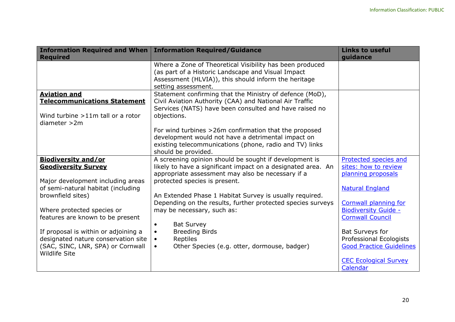| <b>Information Required and When</b>                      | <b>Information Required/Guidance</b>                                                                           | <b>Links to useful</b>          |
|-----------------------------------------------------------|----------------------------------------------------------------------------------------------------------------|---------------------------------|
| <b>Required</b>                                           |                                                                                                                | guidance                        |
|                                                           | Where a Zone of Theoretical Visibility has been produced<br>(as part of a Historic Landscape and Visual Impact |                                 |
|                                                           | Assessment (HLVIA)), this should inform the heritage<br>setting assessment.                                    |                                 |
| <b>Aviation and</b>                                       | Statement confirming that the Ministry of defence (MoD),                                                       |                                 |
| <b>Telecommunications Statement</b>                       | Civil Aviation Authority (CAA) and National Air Traffic                                                        |                                 |
|                                                           | Services (NATS) have been consulted and have raised no                                                         |                                 |
| Wind turbine $>11m$ tall or a rotor                       | objections.                                                                                                    |                                 |
| diameter > 2m                                             |                                                                                                                |                                 |
|                                                           | For wind turbines > 26m confirmation that the proposed                                                         |                                 |
|                                                           | development would not have a detrimental impact on                                                             |                                 |
|                                                           | existing telecommunications (phone, radio and TV) links                                                        |                                 |
|                                                           | should be provided.                                                                                            |                                 |
| <b>Biodiversity and/or</b>                                | A screening opinion should be sought if development is                                                         | Protected species and           |
| <b>Geodiversity Survey</b>                                | likely to have a significant impact on a designated area. An                                                   | sites: how to review            |
|                                                           | appropriate assessment may also be necessary if a                                                              | planning proposals              |
| Major development including areas                         | protected species is present.                                                                                  |                                 |
| of semi-natural habitat (including                        |                                                                                                                | <b>Natural England</b>          |
| brownfield sites)                                         | An Extended Phase 1 Habitat Survey is usually required.                                                        |                                 |
|                                                           |                                                                                                                |                                 |
|                                                           | Depending on the results, further protected species surveys                                                    | <b>Cornwall planning for</b>    |
| Where protected species or                                | may be necessary, such as:                                                                                     | <b>Biodiversity Guide -</b>     |
| features are known to be present                          |                                                                                                                | <b>Cornwall Council</b>         |
|                                                           | <b>Bat Survey</b><br>$\bullet$                                                                                 |                                 |
| If proposal is within or adjoining a                      | <b>Breeding Birds</b><br>$\bullet$                                                                             | Bat Surveys for                 |
| designated nature conservation site                       | Reptiles<br>$\bullet$                                                                                          | Professional Ecologists         |
| (SAC, SINC, LNR, SPA) or Cornwall<br><b>Wildlife Site</b> | Other Species (e.g. otter, dormouse, badger)<br>$\bullet$                                                      | <b>Good Practice Guidelines</b> |
|                                                           |                                                                                                                | <b>CEC Ecological Survey</b>    |
|                                                           |                                                                                                                | Calendar                        |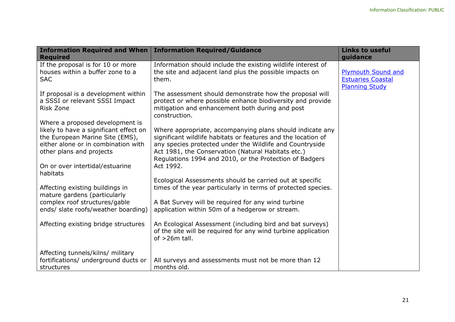| <b>Information Required and When</b><br><b>Required</b>                                                                                                                                                            | <b>Information Required/Guidance</b>                                                                                                                                                                                                                                                                                 | <b>Links to useful</b><br>guidance                                             |
|--------------------------------------------------------------------------------------------------------------------------------------------------------------------------------------------------------------------|----------------------------------------------------------------------------------------------------------------------------------------------------------------------------------------------------------------------------------------------------------------------------------------------------------------------|--------------------------------------------------------------------------------|
| If the proposal is for 10 or more<br>houses within a buffer zone to a<br><b>SAC</b>                                                                                                                                | Information should include the existing wildlife interest of<br>the site and adjacent land plus the possible impacts on<br>them.                                                                                                                                                                                     | <b>Plymouth Sound and</b><br><b>Estuaries Coastal</b><br><b>Planning Study</b> |
| If proposal is a development within<br>a SSSI or relevant SSSI Impact<br>Risk Zone                                                                                                                                 | The assessment should demonstrate how the proposal will<br>protect or where possible enhance biodiversity and provide<br>mitigation and enhancement both during and post<br>construction.                                                                                                                            |                                                                                |
| Where a proposed development is<br>likely to have a significant effect on<br>the European Marine Site (EMS),<br>either alone or in combination with<br>other plans and projects<br>On or over intertidal/estuarine | Where appropriate, accompanying plans should indicate any<br>significant wildlife habitats or features and the location of<br>any species protected under the Wildlife and Countryside<br>Act 1981, the Conservation (Natural Habitats etc.)<br>Regulations 1994 and 2010, or the Protection of Badgers<br>Act 1992. |                                                                                |
| habitats                                                                                                                                                                                                           | Ecological Assessments should be carried out at specific                                                                                                                                                                                                                                                             |                                                                                |
| Affecting existing buildings in<br>mature gardens (particularly                                                                                                                                                    | times of the year particularly in terms of protected species.                                                                                                                                                                                                                                                        |                                                                                |
| complex roof structures/gable<br>ends/ slate roofs/weather boarding)                                                                                                                                               | A Bat Survey will be required for any wind turbine<br>application within 50m of a hedgerow or stream.                                                                                                                                                                                                                |                                                                                |
| Affecting existing bridge structures                                                                                                                                                                               | An Ecological Assessment (including bird and bat surveys)<br>of the site will be required for any wind turbine application<br>of $>26m$ tall.                                                                                                                                                                        |                                                                                |
| Affecting tunnels/kilns/ military<br>fortifications/ underground ducts or<br>structures                                                                                                                            | All surveys and assessments must not be more than 12<br>months old.                                                                                                                                                                                                                                                  |                                                                                |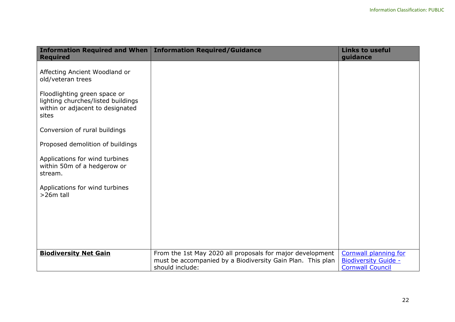| <b>Required</b>                                                                                                                                                                                                                                                              | Information Required and When   Information Required/Guidance                                                           | <b>Links to useful</b><br>guidance                          |
|------------------------------------------------------------------------------------------------------------------------------------------------------------------------------------------------------------------------------------------------------------------------------|-------------------------------------------------------------------------------------------------------------------------|-------------------------------------------------------------|
| Affecting Ancient Woodland or<br>old/veteran trees<br>Floodlighting green space or<br>lighting churches/listed buildings<br>within or adjacent to designated<br>sites<br>Conversion of rural buildings<br>Proposed demolition of buildings<br>Applications for wind turbines |                                                                                                                         |                                                             |
| within 50m of a hedgerow or<br>stream.<br>Applications for wind turbines<br>>26m tall                                                                                                                                                                                        |                                                                                                                         |                                                             |
| <b>Biodiversity Net Gain</b>                                                                                                                                                                                                                                                 | From the 1st May 2020 all proposals for major development<br>must be accompanied by a Biodiversity Gain Plan. This plan | <b>Cornwall planning for</b><br><b>Biodiversity Guide -</b> |
|                                                                                                                                                                                                                                                                              | should include:                                                                                                         | <b>Cornwall Council</b>                                     |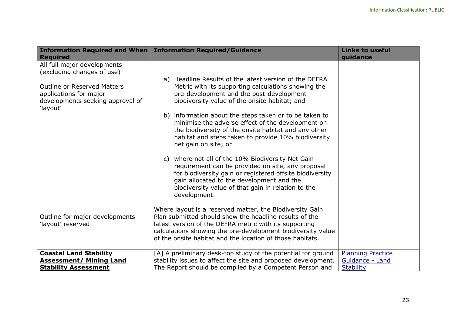| <b>Required</b>                                                                                              | Information Required and When   Information Required/Guidance                                                                                                                                                                                                                                            | <b>Links to useful</b><br>guidance |
|--------------------------------------------------------------------------------------------------------------|----------------------------------------------------------------------------------------------------------------------------------------------------------------------------------------------------------------------------------------------------------------------------------------------------------|------------------------------------|
| All full major developments<br>(excluding changes of use)                                                    |                                                                                                                                                                                                                                                                                                          |                                    |
| <b>Outline or Reserved Matters</b><br>applications for major<br>developments seeking approval of<br>'layout' | a) Headline Results of the latest version of the DEFRA<br>Metric with its supporting calculations showing the<br>pre-development and the post-development<br>biodiversity value of the onsite habitat; and                                                                                               |                                    |
|                                                                                                              | b) information about the steps taken or to be taken to<br>minimise the adverse effect of the development on<br>the biodiversity of the onsite habitat and any other<br>habitat and steps taken to provide 10% biodiversity<br>net gain on site; or                                                       |                                    |
|                                                                                                              | where not all of the 10% Biodiversity Net Gain<br>C)<br>requirement can be provided on site, any proposal<br>for biodiversity gain or registered offsite biodiversity<br>gain allocated to the development and the<br>biodiversity value of that gain in relation to the<br>development.                 |                                    |
| Outline for major developments -<br>'layout' reserved                                                        | Where layout is a reserved matter, the Biodiversity Gain<br>Plan submitted should show the headline results of the<br>latest version of the DEFRA metric with its supporting<br>calculations showing the pre-development biodiversity value<br>of the onsite habitat and the location of those habitats. |                                    |
| <b>Coastal Land Stability</b>                                                                                | [A] A preliminary desk-top study of the potential for ground                                                                                                                                                                                                                                             | <b>Planning Practice</b>           |
| <b>Assessment/ Mining Land</b>                                                                               | stability issues to affect the site and proposed development.                                                                                                                                                                                                                                            | Guidance - Land                    |
| <b>Stability Assessment</b>                                                                                  | The Report should be compiled by a Competent Person and                                                                                                                                                                                                                                                  | <b>Stability</b>                   |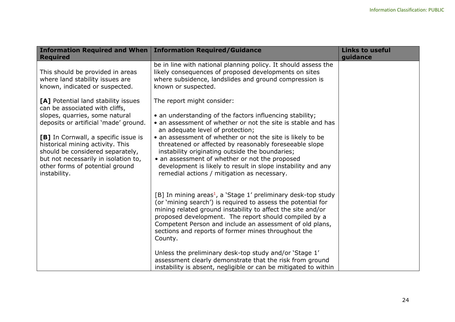| <b>Information Required and When</b><br><b>Required</b>                                                                                                                                                                                                                                                                                                                                                                                              | <b>Information Required/Guidance</b>                                                                                                                                                                                                                                                                                                                                                                                                                                                                                                                                                                                                                                                                | <b>Links to useful</b><br>guidance |
|------------------------------------------------------------------------------------------------------------------------------------------------------------------------------------------------------------------------------------------------------------------------------------------------------------------------------------------------------------------------------------------------------------------------------------------------------|-----------------------------------------------------------------------------------------------------------------------------------------------------------------------------------------------------------------------------------------------------------------------------------------------------------------------------------------------------------------------------------------------------------------------------------------------------------------------------------------------------------------------------------------------------------------------------------------------------------------------------------------------------------------------------------------------------|------------------------------------|
| This should be provided in areas<br>where land stability issues are<br>known, indicated or suspected.<br>[A] Potential land stability issues<br>can be associated with cliffs,<br>slopes, quarries, some natural<br>deposits or artificial 'made' ground.<br>[B] In Cornwall, a specific issue is<br>historical mining activity. This<br>should be considered separately,<br>but not necessarily in isolation to,<br>other forms of potential ground | be in line with national planning policy. It should assess the<br>likely consequences of proposed developments on sites<br>where subsidence, landslides and ground compression is<br>known or suspected.<br>The report might consider:<br>• an understanding of the factors influencing stability;<br>• an assessment of whether or not the site is stable and has<br>an adequate level of protection;<br>• an assessment of whether or not the site is likely to be<br>threatened or affected by reasonably foreseeable slope<br>instability originating outside the boundaries;<br>• an assessment of whether or not the proposed<br>development is likely to result in slope instability and any |                                    |
| instability.                                                                                                                                                                                                                                                                                                                                                                                                                                         | remedial actions / mitigation as necessary.<br>[B] In mining areas <sup>1</sup> , a 'Stage 1' preliminary desk-top study<br>(or 'mining search') is required to assess the potential for<br>mining related ground instability to affect the site and/or<br>proposed development. The report should compiled by a<br>Competent Person and include an assessment of old plans,<br>sections and reports of former mines throughout the<br>County.<br>Unless the preliminary desk-top study and/or 'Stage 1'<br>assessment clearly demonstrate that the risk from ground<br>instability is absent, negligible or can be mitigated to within                                                             |                                    |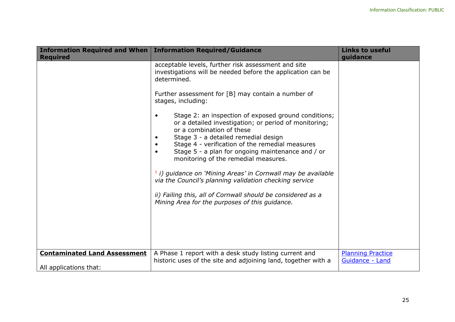| <b>Required</b>                                               | Information Required and When   Information Required/Guidance                                                                                                                                                                                                                                                                                                                                                                                                                                                                                                                                                                                                                                                                                                                                                              | <b>Links to useful</b><br>guidance          |
|---------------------------------------------------------------|----------------------------------------------------------------------------------------------------------------------------------------------------------------------------------------------------------------------------------------------------------------------------------------------------------------------------------------------------------------------------------------------------------------------------------------------------------------------------------------------------------------------------------------------------------------------------------------------------------------------------------------------------------------------------------------------------------------------------------------------------------------------------------------------------------------------------|---------------------------------------------|
|                                                               | acceptable levels, further risk assessment and site<br>investigations will be needed before the application can be<br>determined.<br>Further assessment for [B] may contain a number of<br>stages, including:<br>Stage 2: an inspection of exposed ground conditions;<br>$\bullet$<br>or a detailed investigation; or period of monitoring;<br>or a combination of these<br>Stage 3 - a detailed remedial design<br>$\bullet$<br>Stage 4 - verification of the remedial measures<br>Stage 5 - a plan for ongoing maintenance and / or<br>monitoring of the remedial measures.<br>$1$ i) guidance on 'Mining Areas' in Cornwall may be available<br>via the Council's planning validation checking service<br>ii) Failing this, all of Cornwall should be considered as a<br>Mining Area for the purposes of this guidance. |                                             |
| <b>Contaminated Land Assessment</b><br>All applications that: | A Phase 1 report with a desk study listing current and<br>historic uses of the site and adjoining land, together with a                                                                                                                                                                                                                                                                                                                                                                                                                                                                                                                                                                                                                                                                                                    | <b>Planning Practice</b><br>Guidance - Land |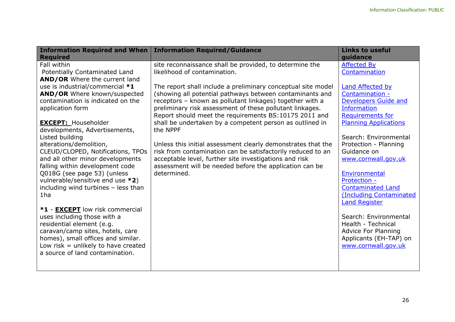| <b>Information Required and When</b>                                                                                                                                                                                                                                                                                                                                                                                                                                                                                                                                                                                                                                                                                                                                                                                                    | <b>Information Required/Guidance</b>                                                                                                                                                                                                                                                                                                                                                                                                                                                                                                                                                                                                                                                                                                            | <b>Links to useful</b>                                                                                                                                                                                                                                                                                                                                                                                                                                                                                                                |
|-----------------------------------------------------------------------------------------------------------------------------------------------------------------------------------------------------------------------------------------------------------------------------------------------------------------------------------------------------------------------------------------------------------------------------------------------------------------------------------------------------------------------------------------------------------------------------------------------------------------------------------------------------------------------------------------------------------------------------------------------------------------------------------------------------------------------------------------|-------------------------------------------------------------------------------------------------------------------------------------------------------------------------------------------------------------------------------------------------------------------------------------------------------------------------------------------------------------------------------------------------------------------------------------------------------------------------------------------------------------------------------------------------------------------------------------------------------------------------------------------------------------------------------------------------------------------------------------------------|---------------------------------------------------------------------------------------------------------------------------------------------------------------------------------------------------------------------------------------------------------------------------------------------------------------------------------------------------------------------------------------------------------------------------------------------------------------------------------------------------------------------------------------|
| <b>Required</b><br>Fall within<br>Potentially Contaminated Land<br>AND/OR Where the current land<br>use is industrial/commercial *1<br>AND/OR Where known/suspected<br>contamination is indicated on the<br>application form<br><b>EXCEPT: Householder</b><br>developments, Advertisements,<br>Listed building<br>alterations/demolition,<br>CLEUD/CLOPED, Notifications, TPOs<br>and all other minor developments<br>falling within development code<br>Q018G (see page 53) (unless<br>vulnerable/sensitive end use *2)<br>including wind turbines - less than<br>1 <sub>ha</sub><br>*1 - EXCEPT low risk commercial<br>uses including those with a<br>residential element (e.g.<br>caravan/camp sites, hotels, care<br>homes), small offices and similar.<br>Low risk $=$ unlikely to have created<br>a source of land contamination. | site reconnaissance shall be provided, to determine the<br>likelihood of contamination.<br>The report shall include a preliminary conceptual site model<br>(showing all potential pathways between contaminants and<br>receptors - known as pollutant linkages) together with a<br>preliminary risk assessment of these pollutant linkages.<br>Report should meet the requirements BS:10175 2011 and<br>shall be undertaken by a competent person as outlined in<br>the NPPF<br>Unless this initial assessment clearly demonstrates that the<br>risk from contamination can be satisfactorily reduced to an<br>acceptable level, further site investigations and risk<br>assessment will be needed before the application can be<br>determined. | guidance<br><b>Affected By</b><br>Contamination<br>Land Affected by<br>Contamination -<br><b>Developers Guide and</b><br>Information<br><b>Requirements for</b><br><b>Planning Applications</b><br>Search: Environmental<br>Protection - Planning<br>Guidance on<br>www.cornwall.gov.uk<br>Environmental<br>Protection -<br><b>Contaminated Land</b><br>(Including Contaminated<br><b>Land Register</b><br>Search: Environmental<br>Health - Technical<br><b>Advice For Planning</b><br>Applicants (EH-TAP) on<br>www.cornwall.gov.uk |
|                                                                                                                                                                                                                                                                                                                                                                                                                                                                                                                                                                                                                                                                                                                                                                                                                                         |                                                                                                                                                                                                                                                                                                                                                                                                                                                                                                                                                                                                                                                                                                                                                 |                                                                                                                                                                                                                                                                                                                                                                                                                                                                                                                                       |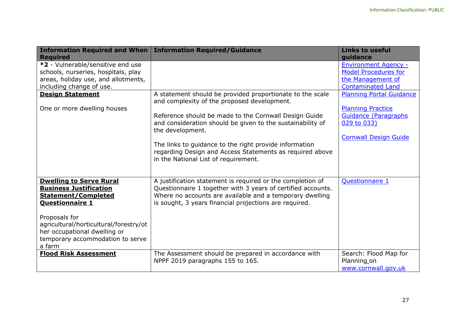| <b>Information Required and When</b>                            | <b>Information Required/Guidance</b>                                                                                     | <b>Links to useful</b>          |
|-----------------------------------------------------------------|--------------------------------------------------------------------------------------------------------------------------|---------------------------------|
| <b>Required</b>                                                 |                                                                                                                          | guidance                        |
| *2 - Vulnerable/sensitive end use                               |                                                                                                                          | <b>Environment Agency -</b>     |
| schools, nurseries, hospitals, play                             |                                                                                                                          | <b>Model Procedures for</b>     |
| areas, holiday use, and allotments,                             |                                                                                                                          | the Management of               |
| including change of use.                                        |                                                                                                                          | <b>Contaminated Land</b>        |
| <b>Design Statement</b>                                         | A statement should be provided proportionate to the scale<br>and complexity of the proposed development.                 | <b>Planning Portal Guidance</b> |
| One or more dwelling houses                                     |                                                                                                                          | <b>Planning Practice</b>        |
|                                                                 | Reference should be made to the Cornwall Design Guide                                                                    | <b>Guidance (Paragraphs)</b>    |
|                                                                 | and consideration should be given to the sustainability of<br>the development.                                           | 029 to 033)                     |
|                                                                 |                                                                                                                          | <b>Cornwall Design Guide</b>    |
|                                                                 | The links to guidance to the right provide information<br>regarding Design and Access Statements as required above       |                                 |
|                                                                 | in the National List of requirement.                                                                                     |                                 |
|                                                                 |                                                                                                                          |                                 |
| <b>Dwelling to Serve Rural</b><br><b>Business Justification</b> | A justification statement is required or the completion of                                                               | <b>Questionnaire 1</b>          |
| <b>Statement/Completed</b>                                      | Questionnaire 1 together with 3 years of certified accounts.<br>Where no accounts are available and a temporary dwelling |                                 |
| <b>Questionnaire 1</b>                                          | is sought, 3 years financial projections are required.                                                                   |                                 |
| Proposals for                                                   |                                                                                                                          |                                 |
| agricultural/horticultural/forestry/ot                          |                                                                                                                          |                                 |
| her occupational dwelling or                                    |                                                                                                                          |                                 |
| temporary accommodation to serve                                |                                                                                                                          |                                 |
| a farm                                                          |                                                                                                                          |                                 |
| <b>Flood Risk Assessment</b>                                    | The Assessment should be prepared in accordance with                                                                     | Search: Flood Map for           |
|                                                                 | NPPF 2019 paragraphs 155 to 165.                                                                                         | Planning on                     |
|                                                                 |                                                                                                                          | www.cornwall.gov.uk             |
|                                                                 |                                                                                                                          |                                 |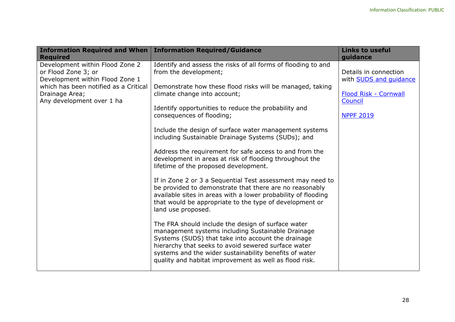| <b>Information Required and When</b>                                                                                                                                              | <b>Information Required/Guidance</b>                                                                                                                                                                                                                                                                                                                                                                                                                                                                                                                                                                                                                                                                                                                                                                                                                                                                                                                                                                                                                                                                                                                                           | <b>Links to useful</b>                                                                                         |
|-----------------------------------------------------------------------------------------------------------------------------------------------------------------------------------|--------------------------------------------------------------------------------------------------------------------------------------------------------------------------------------------------------------------------------------------------------------------------------------------------------------------------------------------------------------------------------------------------------------------------------------------------------------------------------------------------------------------------------------------------------------------------------------------------------------------------------------------------------------------------------------------------------------------------------------------------------------------------------------------------------------------------------------------------------------------------------------------------------------------------------------------------------------------------------------------------------------------------------------------------------------------------------------------------------------------------------------------------------------------------------|----------------------------------------------------------------------------------------------------------------|
| <b>Required</b>                                                                                                                                                                   |                                                                                                                                                                                                                                                                                                                                                                                                                                                                                                                                                                                                                                                                                                                                                                                                                                                                                                                                                                                                                                                                                                                                                                                | guidance                                                                                                       |
| Development within Flood Zone 2<br>or Flood Zone 3; or<br>Development within Flood Zone 1<br>which has been notified as a Critical<br>Drainage Area;<br>Any development over 1 ha | Identify and assess the risks of all forms of flooding to and<br>from the development;<br>Demonstrate how these flood risks will be managed, taking<br>climate change into account;<br>Identify opportunities to reduce the probability and<br>consequences of flooding;<br>Include the design of surface water management systems<br>including Sustainable Drainage Systems (SUDs); and<br>Address the requirement for safe access to and from the<br>development in areas at risk of flooding throughout the<br>lifetime of the proposed development.<br>If in Zone 2 or 3 a Sequential Test assessment may need to<br>be provided to demonstrate that there are no reasonably<br>available sites in areas with a lower probability of flooding<br>that would be appropriate to the type of development or<br>land use proposed.<br>The FRA should include the design of surface water<br>management systems including Sustainable Drainage<br>Systems (SUDS) that take into account the drainage<br>hierarchy that seeks to avoid sewered surface water<br>systems and the wider sustainability benefits of water<br>quality and habitat improvement as well as flood risk. | Details in connection<br>with <b>SUDS</b> and quidance<br>Flood Risk - Cornwall<br>Council<br><b>NPPF 2019</b> |
|                                                                                                                                                                                   |                                                                                                                                                                                                                                                                                                                                                                                                                                                                                                                                                                                                                                                                                                                                                                                                                                                                                                                                                                                                                                                                                                                                                                                |                                                                                                                |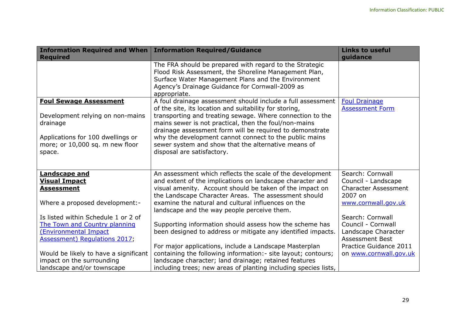| Information Required and When   Information Required/Guidance |                                                                                                                                                                                                                                           | <b>Links to useful</b>                 |
|---------------------------------------------------------------|-------------------------------------------------------------------------------------------------------------------------------------------------------------------------------------------------------------------------------------------|----------------------------------------|
| <b>Required</b>                                               |                                                                                                                                                                                                                                           | guidance                               |
|                                                               | The FRA should be prepared with regard to the Strategic<br>Flood Risk Assessment, the Shoreline Management Plan,<br>Surface Water Management Plans and the Environment<br>Agency's Drainage Guidance for Cornwall-2009 as<br>appropriate. |                                        |
| <b>Foul Sewage Assessment</b>                                 | A foul drainage assessment should include a full assessment                                                                                                                                                                               | <b>Foul Drainage</b>                   |
|                                                               | of the site, its location and suitability for storing,                                                                                                                                                                                    | <b>Assessment Form</b>                 |
| Development relying on non-mains<br>drainage                  | transporting and treating sewage. Where connection to the<br>mains sewer is not practical, then the foul/non-mains<br>drainage assessment form will be required to demonstrate                                                            |                                        |
| Applications for 100 dwellings or                             | why the development cannot connect to the public mains                                                                                                                                                                                    |                                        |
| more; or 10,000 sq. m new floor                               | sewer system and show that the alternative means of                                                                                                                                                                                       |                                        |
| space.                                                        | disposal are satisfactory.                                                                                                                                                                                                                |                                        |
|                                                               |                                                                                                                                                                                                                                           |                                        |
| Landscape and                                                 | An assessment which reflects the scale of the development                                                                                                                                                                                 | Search: Cornwall                       |
| <b>Visual Impact</b>                                          | and extent of the implications on landscape character and                                                                                                                                                                                 | Council - Landscape                    |
| <b>Assessment</b>                                             | visual amenity. Account should be taken of the impact on<br>the Landscape Character Areas. The assessment should                                                                                                                          | <b>Character Assessment</b><br>2007 on |
| Where a proposed development:-                                | examine the natural and cultural influences on the<br>landscape and the way people perceive them.                                                                                                                                         | www.cornwall.gov.uk                    |
| Is listed within Schedule 1 or 2 of                           |                                                                                                                                                                                                                                           | Search: Cornwall                       |
| The Town and Country planning                                 | Supporting information should assess how the scheme has                                                                                                                                                                                   | Council - Cornwall                     |
| (Environmental Impact                                         | been designed to address or mitigate any identified impacts.                                                                                                                                                                              | Landscape Character                    |
| Assessment) Regulations 2017,                                 |                                                                                                                                                                                                                                           | <b>Assessment Best</b>                 |
|                                                               | For major applications, include a Landscape Masterplan                                                                                                                                                                                    | Practice Guidance 2011                 |
| Would be likely to have a significant                         | containing the following information: - site layout; contours;                                                                                                                                                                            | on www.cornwall.gov.uk                 |
| impact on the surrounding                                     | landscape character; land drainage; retained features                                                                                                                                                                                     |                                        |
| landscape and/or townscape                                    | including trees; new areas of planting including species lists,                                                                                                                                                                           |                                        |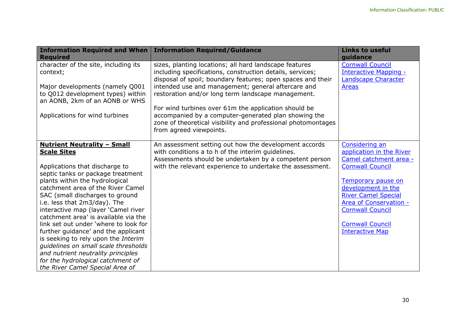| <b>Information Required and When</b><br><b>Required</b>              | <b>Information Required/Guidance</b>                                                                              | <b>Links to useful</b><br>guidance                   |
|----------------------------------------------------------------------|-------------------------------------------------------------------------------------------------------------------|------------------------------------------------------|
| character of the site, including its                                 | sizes, planting locations; all hard landscape features                                                            | <b>Cornwall Council</b>                              |
| context;                                                             | including specifications, construction details, services;                                                         | Interactive Mapping -                                |
| Major developments (namely Q001                                      | disposal of spoil; boundary features; open spaces and their<br>intended use and management; general aftercare and | Landscape Character<br><b>Areas</b>                  |
| to Q012 development types) within                                    | restoration and/or long term landscape management.                                                                |                                                      |
| an AONB, 2km of an AONB or WHS                                       |                                                                                                                   |                                                      |
|                                                                      | For wind turbines over 61m the application should be                                                              |                                                      |
| Applications for wind turbines                                       | accompanied by a computer-generated plan showing the                                                              |                                                      |
|                                                                      | zone of theoretical visibility and professional photomontages                                                     |                                                      |
|                                                                      | from agreed viewpoints.                                                                                           |                                                      |
| <b>Nutrient Neutrality - Small</b>                                   | An assessment setting out how the development accords                                                             | Considering an                                       |
| <b>Scale Sites</b>                                                   | with conditions a to h of the interim guidelines.                                                                 | application in the River                             |
|                                                                      | Assessments should be undertaken by a competent person                                                            | Camel catchment area -                               |
| Applications that discharge to                                       | with the relevant experience to undertake the assessment.                                                         | <b>Cornwall Council</b>                              |
| septic tanks or package treatment                                    |                                                                                                                   |                                                      |
| plants within the hydrological                                       |                                                                                                                   | <b>Temporary pause on</b>                            |
| catchment area of the River Camel                                    |                                                                                                                   | development in the                                   |
| SAC (small discharges to ground<br>i.e. less that 2m3/day). The      |                                                                                                                   | <b>River Camel Special</b><br>Area of Conservation - |
| interactive map (layer 'Camel river                                  |                                                                                                                   | <b>Cornwall Council</b>                              |
| catchment area' is available via the                                 |                                                                                                                   |                                                      |
| link set out under 'where to look for                                |                                                                                                                   | <b>Cornwall Council</b>                              |
| further guidance' and the applicant                                  |                                                                                                                   | <b>Interactive Map</b>                               |
| is seeking to rely upon the Interim                                  |                                                                                                                   |                                                      |
| quidelines on small scale thresholds                                 |                                                                                                                   |                                                      |
| and nutrient neutrality principles                                   |                                                                                                                   |                                                      |
| for the hydrological catchment of<br>the River Camel Special Area of |                                                                                                                   |                                                      |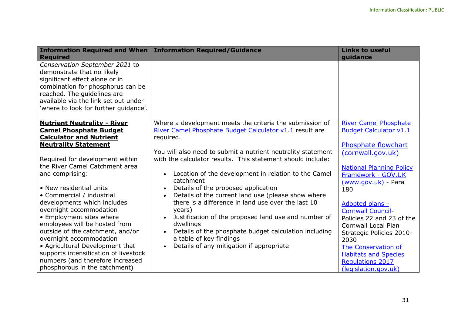| <b>Information Required and When</b><br><b>Required</b>                                                                                                                                                                                                                                                                                                          | <b>Information Required/Guidance</b>                                                                                                                                                                                                                                                                                                 | <b>Links to useful</b><br>guidance                                                                                                                                                                                                                  |
|------------------------------------------------------------------------------------------------------------------------------------------------------------------------------------------------------------------------------------------------------------------------------------------------------------------------------------------------------------------|--------------------------------------------------------------------------------------------------------------------------------------------------------------------------------------------------------------------------------------------------------------------------------------------------------------------------------------|-----------------------------------------------------------------------------------------------------------------------------------------------------------------------------------------------------------------------------------------------------|
| Conservation September 2021 to<br>demonstrate that no likely<br>significant effect alone or in<br>combination for phosphorus can be<br>reached. The guidelines are<br>available via the link set out under<br>'where to look for further guidance'.                                                                                                              |                                                                                                                                                                                                                                                                                                                                      |                                                                                                                                                                                                                                                     |
| <b>Nutrient Neutrality - River</b>                                                                                                                                                                                                                                                                                                                               | Where a development meets the criteria the submission of                                                                                                                                                                                                                                                                             | <b>River Camel Phosphate</b>                                                                                                                                                                                                                        |
| <b>Camel Phosphate Budget</b><br><b>Calculator and Nutrient</b>                                                                                                                                                                                                                                                                                                  | River Camel Phosphate Budget Calculator v1.1 result are<br>required.                                                                                                                                                                                                                                                                 | <b>Budget Calculator v1.1</b>                                                                                                                                                                                                                       |
| <b>Neutrality Statement</b>                                                                                                                                                                                                                                                                                                                                      |                                                                                                                                                                                                                                                                                                                                      | Phosphate flowchart                                                                                                                                                                                                                                 |
| Required for development within<br>the River Camel Catchment area                                                                                                                                                                                                                                                                                                | You will also need to submit a nutrient neutrality statement<br>with the calculator results. This statement should include:                                                                                                                                                                                                          | (cornwall.gov.uk)<br><b>National Planning Policy</b>                                                                                                                                                                                                |
| and comprising:                                                                                                                                                                                                                                                                                                                                                  | Location of the development in relation to the Camel<br>catchment                                                                                                                                                                                                                                                                    | Framework - GOV.UK<br>(www.gov.uk) - Para                                                                                                                                                                                                           |
| • New residential units                                                                                                                                                                                                                                                                                                                                          | Details of the proposed application                                                                                                                                                                                                                                                                                                  | 180                                                                                                                                                                                                                                                 |
| • Commercial / industrial<br>developments which includes<br>overnight accommodation<br>• Employment sites where<br>employees will be hosted from<br>outside of the catchment, and/or<br>overnight accommodation<br>• Agricultural Development that<br>supports intensification of livestock<br>numbers (and therefore increased<br>phosphorous in the catchment) | Details of the current land use (please show where<br>there is a difference in land use over the last 10<br>years)<br>Justification of the proposed land use and number of<br>dwellings<br>Details of the phosphate budget calculation including<br>a table of key findings<br>Details of any mitigation if appropriate<br>$\bullet$ | Adopted plans -<br><b>Cornwall Council-</b><br>Policies 22 and 23 of the<br><b>Cornwall Local Plan</b><br>Strategic Policies 2010-<br>2030<br>The Conservation of<br><b>Habitats and Species</b><br><b>Regulations 2017</b><br>(legislation.gov.uk) |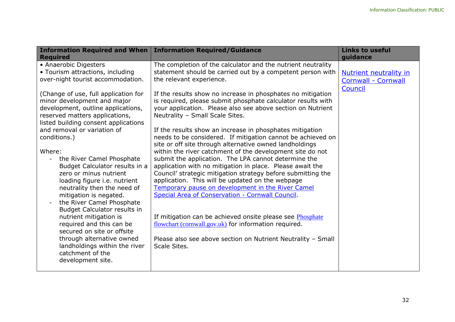| <b>Information Required and When</b><br><b>Required</b>                                                                                                                                                                                                                                                                                                                                                                                                                                                                                                                                                                                                                                                                                                                                                           | <b>Information Required/Guidance</b>                                                                                                                                                                                                                                                                                                                                                                                                                                                                                                                                                                                                                                                                                                                                                                                                                                                                                                                                                                                                                                                                                                                                                               | <b>Links to useful</b><br>guidance                                     |
|-------------------------------------------------------------------------------------------------------------------------------------------------------------------------------------------------------------------------------------------------------------------------------------------------------------------------------------------------------------------------------------------------------------------------------------------------------------------------------------------------------------------------------------------------------------------------------------------------------------------------------------------------------------------------------------------------------------------------------------------------------------------------------------------------------------------|----------------------------------------------------------------------------------------------------------------------------------------------------------------------------------------------------------------------------------------------------------------------------------------------------------------------------------------------------------------------------------------------------------------------------------------------------------------------------------------------------------------------------------------------------------------------------------------------------------------------------------------------------------------------------------------------------------------------------------------------------------------------------------------------------------------------------------------------------------------------------------------------------------------------------------------------------------------------------------------------------------------------------------------------------------------------------------------------------------------------------------------------------------------------------------------------------|------------------------------------------------------------------------|
| • Anaerobic Digesters<br>• Tourism attractions, including<br>over-night tourist accommodation.<br>(Change of use, full application for<br>minor development and major<br>development, outline applications,<br>reserved matters applications,<br>listed building consent applications<br>and removal or variation of<br>conditions.)<br>Where:<br>the River Camel Phosphate<br>$\overline{a}$<br>Budget Calculator results in a<br>zero or minus nutrient<br>loading figure i.e. nutrient<br>neutrality then the need of<br>mitigation is negated.<br>the River Camel Phosphate<br><b>Budget Calculator results in</b><br>nutrient mitigation is<br>required and this can be<br>secured on site or offsite<br>through alternative owned<br>landholdings within the river<br>catchment of the<br>development site. | The completion of the calculator and the nutrient neutrality<br>statement should be carried out by a competent person with<br>the relevant experience.<br>If the results show no increase in phosphates no mitigation<br>is required, please submit phosphate calculator results with<br>your application. Please also see above section on Nutrient<br>Neutrality - Small Scale Sites.<br>If the results show an increase in phosphates mitigation<br>needs to be considered. If mitigation cannot be achieved on<br>site or off site through alternative owned landholdings<br>within the river catchment of the development site do not<br>submit the application. The LPA cannot determine the<br>application with no mitigation in place. Please await the<br>Council' strategic mitigation strategy before submitting the<br>application. This will be updated on the webpage<br>Temporary pause on development in the River Camel<br>Special Area of Conservation - Cornwall Council.<br>If mitigation can be achieved onsite please see Phosphate<br>flowchart (cornwall.gov.uk) for information required.<br>Please also see above section on Nutrient Neutrality - Small<br>Scale Sites. | <b>Nutrient neutrality in</b><br><b>Cornwall - Cornwall</b><br>Council |
|                                                                                                                                                                                                                                                                                                                                                                                                                                                                                                                                                                                                                                                                                                                                                                                                                   |                                                                                                                                                                                                                                                                                                                                                                                                                                                                                                                                                                                                                                                                                                                                                                                                                                                                                                                                                                                                                                                                                                                                                                                                    |                                                                        |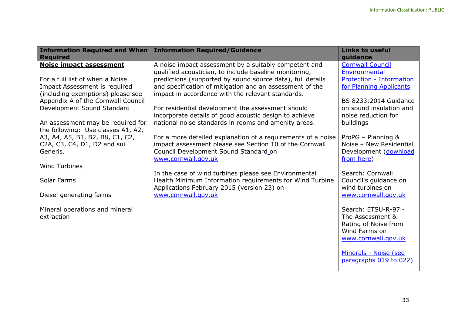| <b>Information Required and When</b><br><b>Required</b>        | <b>Information Required/Guidance</b>                                                                                    | <b>Links to useful</b><br>guidance            |
|----------------------------------------------------------------|-------------------------------------------------------------------------------------------------------------------------|-----------------------------------------------|
| <b>Noise impact assessment</b>                                 | A noise impact assessment by a suitably competent and                                                                   | <b>Cornwall Council</b>                       |
|                                                                | qualified acoustician, to include baseline monitoring,                                                                  | Environmental                                 |
| For a full list of when a Noise                                | predictions (supported by sound source data), full details                                                              | Protection - Information                      |
| Impact Assessment is required                                  | and specification of mitigation and an assessment of the                                                                | for Planning Applicants                       |
| (including exemptions) please see                              | impact in accordance with the relevant standards.                                                                       |                                               |
| Appendix A of the Cornwall Council                             |                                                                                                                         | <b>BS 8233:2014 Guidance</b>                  |
| Development Sound Standard                                     | For residential development the assessment should                                                                       | on sound insulation and                       |
|                                                                | incorporate details of good acoustic design to achieve                                                                  | noise reduction for                           |
| An assessment may be required for                              | national noise standards in rooms and amenity areas.                                                                    | buildings                                     |
| the following: Use classes A1, A2,                             |                                                                                                                         |                                               |
| A3, A4, A5, B1, B2, B8, C1, C2,<br>C2A, C3, C4, D1, D2 and sui | For a more detailed explanation of a requirements of a noise<br>impact assessment please see Section 10 of the Cornwall | ProPG - Planning &<br>Noise - New Residential |
| Generis.                                                       | Council Development Sound Standard_on                                                                                   | Development (download                         |
|                                                                | www.cornwall.gov.uk                                                                                                     | from here)                                    |
| <b>Wind Turbines</b>                                           |                                                                                                                         |                                               |
|                                                                | In the case of wind turbines please see Environmental                                                                   | Search: Cornwall                              |
| Solar Farms                                                    | Health Minimum Information requirements for Wind Turbine                                                                | Council's guidance on                         |
|                                                                | Applications February 2015 (version 23) on                                                                              | wind turbines on                              |
| Diesel generating farms                                        | www.cornwall.gov.uk                                                                                                     | www.cornwall.gov.uk                           |
|                                                                |                                                                                                                         |                                               |
| Mineral operations and mineral                                 |                                                                                                                         | Search: ETSU-R-97 -                           |
| extraction                                                     |                                                                                                                         | The Assessment &                              |
|                                                                |                                                                                                                         | Rating of Noise from<br>Wind Farms_on         |
|                                                                |                                                                                                                         | www.cornwall.gov.uk                           |
|                                                                |                                                                                                                         |                                               |
|                                                                |                                                                                                                         | Minerals - Noise (see                         |
|                                                                |                                                                                                                         | paragraphs 019 to 022)                        |
|                                                                |                                                                                                                         |                                               |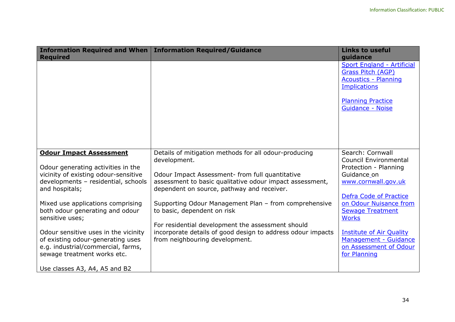| <b>Required</b>                                                                                                                                                                                                                                                                                                                                                                                                    | Information Required and When   Information Required/Guidance                                                                                                                                                                                                                                                                                                                                                                                                                    | <b>Links to useful</b><br>guidance                                                                                                                                                                                                                                                                                   |
|--------------------------------------------------------------------------------------------------------------------------------------------------------------------------------------------------------------------------------------------------------------------------------------------------------------------------------------------------------------------------------------------------------------------|----------------------------------------------------------------------------------------------------------------------------------------------------------------------------------------------------------------------------------------------------------------------------------------------------------------------------------------------------------------------------------------------------------------------------------------------------------------------------------|----------------------------------------------------------------------------------------------------------------------------------------------------------------------------------------------------------------------------------------------------------------------------------------------------------------------|
|                                                                                                                                                                                                                                                                                                                                                                                                                    |                                                                                                                                                                                                                                                                                                                                                                                                                                                                                  | Sport England - Artificial<br><b>Grass Pitch (AGP)</b><br><b>Acoustics - Planning</b><br><b>Implications</b><br><b>Planning Practice</b><br><b>Guidance - Noise</b>                                                                                                                                                  |
| <b>Odour Impact Assessment</b><br>Odour generating activities in the<br>vicinity of existing odour-sensitive<br>developments - residential, schools<br>and hospitals;<br>Mixed use applications comprising<br>both odour generating and odour<br>sensitive uses;<br>Odour sensitive uses in the vicinity<br>of existing odour-generating uses<br>e.g. industrial/commercial, farms,<br>sewage treatment works etc. | Details of mitigation methods for all odour-producing<br>development.<br>Odour Impact Assessment- from full quantitative<br>assessment to basic qualitative odour impact assessment,<br>dependent on source, pathway and receiver.<br>Supporting Odour Management Plan - from comprehensive<br>to basic, dependent on risk<br>For residential development the assessment should<br>incorporate details of good design to address odour impacts<br>from neighbouring development. | Search: Cornwall<br><b>Council Environmental</b><br>Protection - Planning<br>Guidance_on<br>www.cornwall.gov.uk<br>Defra Code of Practice<br>on Odour Nuisance from<br><b>Sewage Treatment</b><br><b>Works</b><br><b>Institute of Air Quality</b><br>Management - Guidance<br>on Assessment of Odour<br>for Planning |
| Use classes A3, A4, A5 and B2                                                                                                                                                                                                                                                                                                                                                                                      |                                                                                                                                                                                                                                                                                                                                                                                                                                                                                  |                                                                                                                                                                                                                                                                                                                      |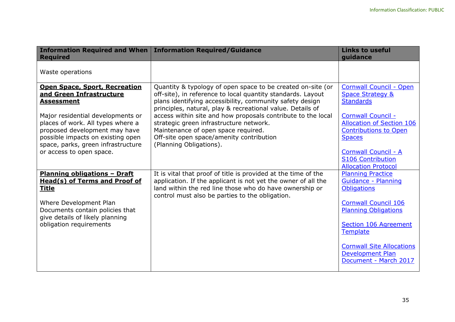| <b>Information Required and When</b><br><b>Required</b>                                                                                                                                                                | <b>Information Required/Guidance</b>                                                                                                                                                                                                                                                                                 | <b>Links to useful</b><br>guidance                                                                                                                                                                                                                                                                    |
|------------------------------------------------------------------------------------------------------------------------------------------------------------------------------------------------------------------------|----------------------------------------------------------------------------------------------------------------------------------------------------------------------------------------------------------------------------------------------------------------------------------------------------------------------|-------------------------------------------------------------------------------------------------------------------------------------------------------------------------------------------------------------------------------------------------------------------------------------------------------|
| Waste operations                                                                                                                                                                                                       |                                                                                                                                                                                                                                                                                                                      |                                                                                                                                                                                                                                                                                                       |
| <b>Open Space, Sport, Recreation</b><br>and Green Infrastructure<br><b>Assessment</b><br>Major residential developments or                                                                                             | Quantity & typology of open space to be created on-site (or<br>off-site), in reference to local quantity standards. Layout<br>plans identifying accessibility, community safety design<br>principles, natural, play & recreational value. Details of<br>access within site and how proposals contribute to the local | <b>Cornwall Council - Open</b><br><b>Space Strategy &amp;</b><br><b>Standards</b><br><b>Cornwall Council -</b>                                                                                                                                                                                        |
| places of work. All types where a<br>proposed development may have<br>possible impacts on existing open<br>space, parks, green infrastructure<br>or access to open space.                                              | strategic green infrastructure network.<br>Maintenance of open space required.<br>Off-site open space/amenity contribution<br>(Planning Obligations).                                                                                                                                                                | <b>Allocation of Section 106</b><br><b>Contributions to Open</b><br><b>Spaces</b><br><b>Cornwall Council - A</b><br><b>S106 Contribution</b>                                                                                                                                                          |
| <b>Planning obligations - Draft</b><br><b>Head(s) of Terms and Proof of</b><br><b>Title</b><br>Where Development Plan<br>Documents contain policies that<br>give details of likely planning<br>obligation requirements | It is vital that proof of title is provided at the time of the<br>application. If the applicant is not yet the owner of all the<br>land within the red line those who do have ownership or<br>control must also be parties to the obligation.                                                                        | <b>Allocation Protocol</b><br><b>Planning Practice</b><br>Guidance - Planning<br><b>Obligations</b><br><b>Cornwall Council 106</b><br><b>Planning Obligations</b><br>Section 106 Agreement<br><b>Template</b><br><b>Cornwall Site Allocations</b><br><b>Development Plan</b><br>Document - March 2017 |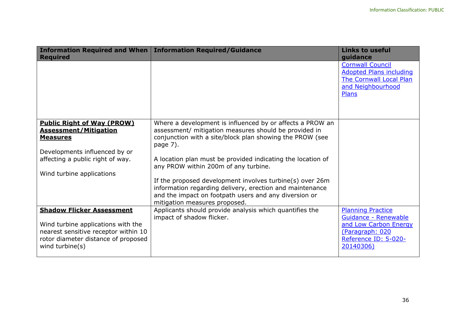| <b>Required</b>                                                                                                                                                                        | Information Required and When   Information Required/Guidance                                                                                                                                                                                                                                                                                                                                                                                                                                                       | <b>Links to useful</b><br>quidance                                                                                                |
|----------------------------------------------------------------------------------------------------------------------------------------------------------------------------------------|---------------------------------------------------------------------------------------------------------------------------------------------------------------------------------------------------------------------------------------------------------------------------------------------------------------------------------------------------------------------------------------------------------------------------------------------------------------------------------------------------------------------|-----------------------------------------------------------------------------------------------------------------------------------|
|                                                                                                                                                                                        |                                                                                                                                                                                                                                                                                                                                                                                                                                                                                                                     | <b>Cornwall Council</b><br><b>Adopted Plans including</b><br>The Cornwall Local Plan<br>and Neighbourhood<br><b>Plans</b>         |
| <b>Public Right of Way (PROW)</b><br><b>Assessment/Mitigation</b><br><b>Measures</b><br>Developments influenced by or<br>affecting a public right of way.<br>Wind turbine applications | Where a development is influenced by or affects a PROW an<br>assessment/ mitigation measures should be provided in<br>conjunction with a site/block plan showing the PROW (see<br>page 7).<br>A location plan must be provided indicating the location of<br>any PROW within 200m of any turbine.<br>If the proposed development involves turbine(s) over 26m<br>information regarding delivery, erection and maintenance<br>and the impact on footpath users and any diversion or<br>mitigation measures proposed. |                                                                                                                                   |
| <b>Shadow Flicker Assessment</b><br>Wind turbine applications with the<br>nearest sensitive receptor within 10<br>rotor diameter distance of proposed<br>wind turbine(s)               | Applicants should provide analysis which quantifies the<br>impact of shadow flicker.                                                                                                                                                                                                                                                                                                                                                                                                                                | <b>Planning Practice</b><br>Guidance - Renewable<br>and Low Carbon Energy<br>(Paragraph: 020<br>Reference ID: 5-020-<br>20140306) |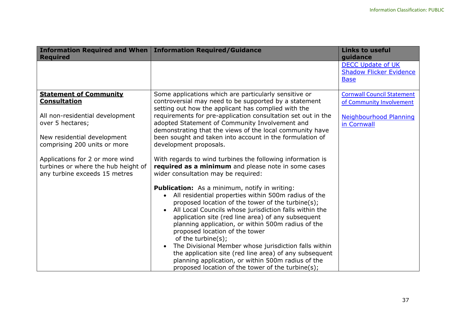| <b>Required</b>                                      | Information Required and When   Information Required/Guidance                                                  | <b>Links to useful</b><br>guidance                                        |
|------------------------------------------------------|----------------------------------------------------------------------------------------------------------------|---------------------------------------------------------------------------|
|                                                      |                                                                                                                | <b>DECC Update of UK</b><br><b>Shadow Flicker Evidence</b><br><b>Base</b> |
| <b>Statement of Community</b><br><b>Consultation</b> | Some applications which are particularly sensitive or<br>controversial may need to be supported by a statement | <b>Cornwall Council Statement</b>                                         |
|                                                      | setting out how the applicant has complied with the                                                            | of Community Involvement                                                  |
| All non-residential development<br>over 5 hectares;  | requirements for pre-application consultation set out in the<br>adopted Statement of Community Involvement and | <b>Neighbourhood Planning</b>                                             |
|                                                      | demonstrating that the views of the local community have                                                       | in Cornwall                                                               |
| New residential development                          | been sought and taken into account in the formulation of                                                       |                                                                           |
| comprising 200 units or more                         | development proposals.                                                                                         |                                                                           |
| Applications for 2 or more wind                      | With regards to wind turbines the following information is                                                     |                                                                           |
| turbines or where the hub height of                  | required as a minimum and please note in some cases                                                            |                                                                           |
| any turbine exceeds 15 metres                        | wider consultation may be required:                                                                            |                                                                           |
|                                                      | <b>Publication:</b> As a minimum, notify in writing:                                                           |                                                                           |
|                                                      | All residential properties within 500m radius of the<br>proposed location of the tower of the turbine(s);      |                                                                           |
|                                                      | All Local Councils whose jurisdiction falls within the                                                         |                                                                           |
|                                                      | application site (red line area) of any subsequent                                                             |                                                                           |
|                                                      | planning application, or within 500m radius of the                                                             |                                                                           |
|                                                      | proposed location of the tower<br>of the turbine(s);                                                           |                                                                           |
|                                                      | The Divisional Member whose jurisdiction falls within                                                          |                                                                           |
|                                                      | the application site (red line area) of any subsequent                                                         |                                                                           |
|                                                      | planning application, or within 500m radius of the                                                             |                                                                           |
|                                                      | proposed location of the tower of the turbine(s);                                                              |                                                                           |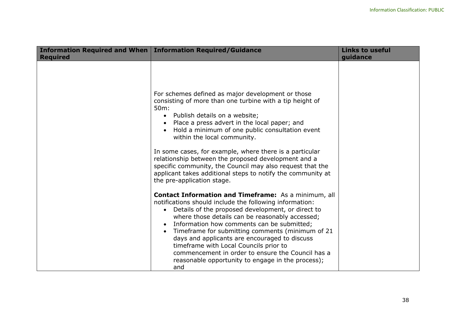|                 | Information Required and When   Information Required/Guidance                                                                                                                                                                                                                                                                                                                                                                                                                                                                                                                                                                                                                                                                                                 | <b>Links to useful</b> |
|-----------------|---------------------------------------------------------------------------------------------------------------------------------------------------------------------------------------------------------------------------------------------------------------------------------------------------------------------------------------------------------------------------------------------------------------------------------------------------------------------------------------------------------------------------------------------------------------------------------------------------------------------------------------------------------------------------------------------------------------------------------------------------------------|------------------------|
| <b>Required</b> | For schemes defined as major development or those<br>consisting of more than one turbine with a tip height of<br>50 <sub>m</sub> :<br>• Publish details on a website;<br>Place a press advert in the local paper; and<br>Hold a minimum of one public consultation event<br>within the local community.<br>In some cases, for example, where there is a particular                                                                                                                                                                                                                                                                                                                                                                                            | guidance               |
|                 | relationship between the proposed development and a<br>specific community, the Council may also request that the<br>applicant takes additional steps to notify the community at<br>the pre-application stage.<br><b>Contact Information and Timeframe:</b> As a minimum, all<br>notifications should include the following information:<br>Details of the proposed development, or direct to<br>where those details can be reasonably accessed;<br>Information how comments can be submitted;<br>Timeframe for submitting comments (minimum of 21<br>days and applicants are encouraged to discuss<br>timeframe with Local Councils prior to<br>commencement in order to ensure the Council has a<br>reasonable opportunity to engage in the process);<br>and |                        |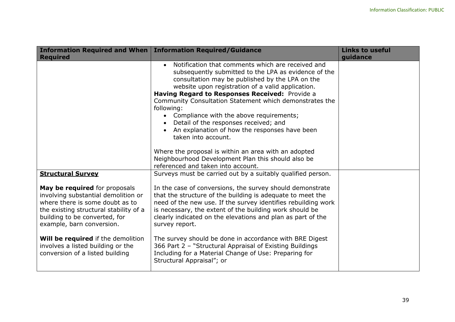|                                                                                                                                                                                                                 | Information Required and When   Information Required/Guidance                                                                                                                                                                                                                                                                                                                                                                                                                                                                                                      | <b>Links to useful</b> |
|-----------------------------------------------------------------------------------------------------------------------------------------------------------------------------------------------------------------|--------------------------------------------------------------------------------------------------------------------------------------------------------------------------------------------------------------------------------------------------------------------------------------------------------------------------------------------------------------------------------------------------------------------------------------------------------------------------------------------------------------------------------------------------------------------|------------------------|
| <b>Required</b>                                                                                                                                                                                                 |                                                                                                                                                                                                                                                                                                                                                                                                                                                                                                                                                                    | guidance               |
|                                                                                                                                                                                                                 | Notification that comments which are received and<br>subsequently submitted to the LPA as evidence of the<br>consultation may be published by the LPA on the<br>website upon registration of a valid application.<br>Having Regard to Responses Received: Provide a<br>Community Consultation Statement which demonstrates the<br>following:<br>• Compliance with the above requirements;<br>Detail of the responses received; and<br>An explanation of how the responses have been<br>taken into account.<br>Where the proposal is within an area with an adopted |                        |
|                                                                                                                                                                                                                 | Neighbourhood Development Plan this should also be<br>referenced and taken into account.                                                                                                                                                                                                                                                                                                                                                                                                                                                                           |                        |
| <b>Structural Survey</b>                                                                                                                                                                                        | Surveys must be carried out by a suitably qualified person.                                                                                                                                                                                                                                                                                                                                                                                                                                                                                                        |                        |
| May be required for proposals<br>involving substantial demolition or<br>where there is some doubt as to<br>the existing structural stability of a<br>building to be converted, for<br>example, barn conversion. | In the case of conversions, the survey should demonstrate<br>that the structure of the building is adequate to meet the<br>need of the new use. If the survey identifies rebuilding work<br>is necessary, the extent of the building work should be<br>clearly indicated on the elevations and plan as part of the<br>survey report.                                                                                                                                                                                                                               |                        |
| Will be required if the demolition<br>involves a listed building or the<br>conversion of a listed building                                                                                                      | The survey should be done in accordance with BRE Digest<br>366 Part 2 - "Structural Appraisal of Existing Buildings<br>Including for a Material Change of Use: Preparing for<br>Structural Appraisal"; or                                                                                                                                                                                                                                                                                                                                                          |                        |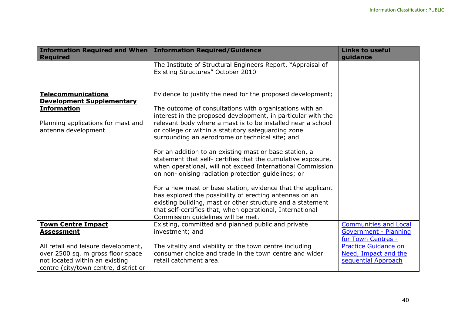| <b>Required</b>                       | Information Required and When   Information Required/Guidance                                                                                                                                                                               | <b>Links to useful</b><br>guidance                |
|---------------------------------------|---------------------------------------------------------------------------------------------------------------------------------------------------------------------------------------------------------------------------------------------|---------------------------------------------------|
|                                       | The Institute of Structural Engineers Report, "Appraisal of<br>Existing Structures" October 2010                                                                                                                                            |                                                   |
| <b>Telecommunications</b>             | Evidence to justify the need for the proposed development;                                                                                                                                                                                  |                                                   |
| <b>Development Supplementary</b>      |                                                                                                                                                                                                                                             |                                                   |
| <b>Information</b>                    | The outcome of consultations with organisations with an                                                                                                                                                                                     |                                                   |
|                                       | interest in the proposed development, in particular with the                                                                                                                                                                                |                                                   |
| Planning applications for mast and    | relevant body where a mast is to be installed near a school                                                                                                                                                                                 |                                                   |
| antenna development                   | or college or within a statutory safeguarding zone                                                                                                                                                                                          |                                                   |
|                                       | surrounding an aerodrome or technical site; and                                                                                                                                                                                             |                                                   |
|                                       | For an addition to an existing mast or base station, a<br>statement that self- certifies that the cumulative exposure,<br>when operational, will not exceed International Commission<br>on non-ionising radiation protection guidelines; or |                                                   |
|                                       | For a new mast or base station, evidence that the applicant                                                                                                                                                                                 |                                                   |
|                                       | has explored the possibility of erecting antennas on an                                                                                                                                                                                     |                                                   |
|                                       | existing building, mast or other structure and a statement                                                                                                                                                                                  |                                                   |
|                                       | that self-certifies that, when operational, International                                                                                                                                                                                   |                                                   |
|                                       | Commission guidelines will be met.                                                                                                                                                                                                          |                                                   |
| <b>Town Centre Impact</b>             | Existing, committed and planned public and private                                                                                                                                                                                          | <b>Communities and Local</b>                      |
| <b>Assessment</b>                     | investment; and                                                                                                                                                                                                                             | Government - Planning                             |
| All retail and leisure development,   | The vitality and viability of the town centre including                                                                                                                                                                                     | for Town Centres -<br><b>Practice Guidance on</b> |
| over 2500 sq. m gross floor space     | consumer choice and trade in the town centre and wider                                                                                                                                                                                      | Need, Impact and the                              |
| not located within an existing        | retail catchment area.                                                                                                                                                                                                                      | sequential Approach                               |
| centre (city/town centre, district or |                                                                                                                                                                                                                                             |                                                   |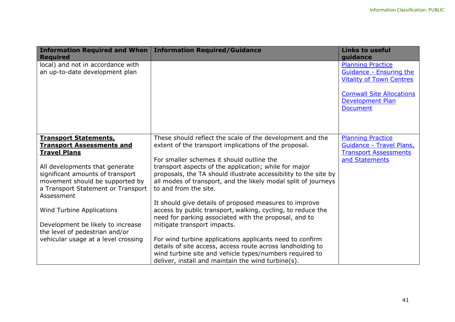| Information Required and When   Information Required/Guidance<br><b>Required</b> |                                                                                                                                    | <b>Links to useful</b><br>guidance                          |
|----------------------------------------------------------------------------------|------------------------------------------------------------------------------------------------------------------------------------|-------------------------------------------------------------|
| local) and not in accordance with                                                |                                                                                                                                    | <b>Planning Practice</b>                                    |
| an up-to-date development plan                                                   |                                                                                                                                    | Guidance - Ensuring the<br><b>Vitality of Town Centres</b>  |
|                                                                                  |                                                                                                                                    |                                                             |
|                                                                                  |                                                                                                                                    | <b>Cornwall Site Allocations</b><br><b>Development Plan</b> |
|                                                                                  |                                                                                                                                    | <b>Document</b>                                             |
|                                                                                  |                                                                                                                                    |                                                             |
|                                                                                  |                                                                                                                                    |                                                             |
| <b>Transport Statements,</b>                                                     | These should reflect the scale of the development and the                                                                          | <b>Planning Practice</b>                                    |
| <b>Transport Assessments and</b>                                                 | extent of the transport implications of the proposal.                                                                              | Guidance - Travel Plans,                                    |
| <b>Travel Plans</b>                                                              |                                                                                                                                    | <b>Transport Assessments</b>                                |
|                                                                                  | For smaller schemes it should outline the                                                                                          | and Statements                                              |
| All developments that generate                                                   | transport aspects of the application; while for major                                                                              |                                                             |
| significant amounts of transport<br>movement should be supported by              | proposals, the TA should illustrate accessibility to the site by<br>all modes of transport, and the likely modal split of journeys |                                                             |
| a Transport Statement or Transport                                               | to and from the site.                                                                                                              |                                                             |
| Assessment                                                                       |                                                                                                                                    |                                                             |
|                                                                                  | It should give details of proposed measures to improve                                                                             |                                                             |
| Wind Turbine Applications                                                        | access by public transport, walking, cycling, to reduce the                                                                        |                                                             |
|                                                                                  | need for parking associated with the proposal, and to                                                                              |                                                             |
| Development be likely to increase                                                | mitigate transport impacts.                                                                                                        |                                                             |
| the level of pedestrian and/or                                                   |                                                                                                                                    |                                                             |
| vehicular usage at a level crossing                                              | For wind turbine applications applicants need to confirm                                                                           |                                                             |
|                                                                                  | details of site access, access route across landholding to                                                                         |                                                             |
|                                                                                  | wind turbine site and vehicle types/numbers required to                                                                            |                                                             |
|                                                                                  | deliver, install and maintain the wind turbine(s).                                                                                 |                                                             |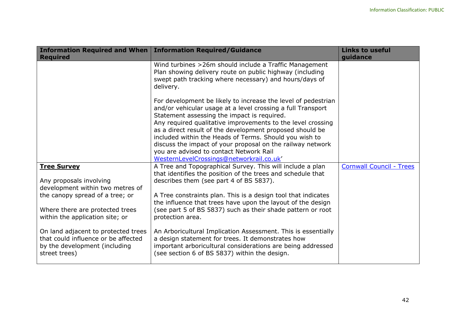| <b>Required</b>                                                                                                                           | Information Required and When   Information Required/Guidance                                                                                                                                                                                                                                                                                                                                                                                                                                                         | <b>Links to useful</b><br>quidance |
|-------------------------------------------------------------------------------------------------------------------------------------------|-----------------------------------------------------------------------------------------------------------------------------------------------------------------------------------------------------------------------------------------------------------------------------------------------------------------------------------------------------------------------------------------------------------------------------------------------------------------------------------------------------------------------|------------------------------------|
|                                                                                                                                           | Wind turbines > 26m should include a Traffic Management<br>Plan showing delivery route on public highway (including<br>swept path tracking where necessary) and hours/days of<br>delivery.                                                                                                                                                                                                                                                                                                                            |                                    |
|                                                                                                                                           | For development be likely to increase the level of pedestrian<br>and/or vehicular usage at a level crossing a full Transport<br>Statement assessing the impact is required.<br>Any required qualitative improvements to the level crossing<br>as a direct result of the development proposed should be<br>included within the Heads of Terms. Should you wish to<br>discuss the impact of your proposal on the railway network<br>you are advised to contact Network Rail<br>WesternLevelCrossings@networkrail.co.uk' |                                    |
| <b>Tree Survey</b><br>Any proposals involving                                                                                             | A Tree and Topographical Survey. This will include a plan<br>that identifies the position of the trees and schedule that<br>describes them (see part 4 of BS 5837).                                                                                                                                                                                                                                                                                                                                                   | <b>Cornwall Council - Trees</b>    |
| development within two metres of<br>the canopy spread of a tree; or<br>Where there are protected trees<br>within the application site; or | A Tree constraints plan. This is a design tool that indicates<br>the influence that trees have upon the layout of the design<br>(see part 5 of BS 5837) such as their shade pattern or root<br>protection area.                                                                                                                                                                                                                                                                                                       |                                    |
| On land adjacent to protected trees<br>that could influence or be affected<br>by the development (including<br>street trees)              | An Arboricultural Implication Assessment. This is essentially<br>a design statement for trees. It demonstrates how<br>important arboricultural considerations are being addressed<br>(see section 6 of BS 5837) within the design.                                                                                                                                                                                                                                                                                    |                                    |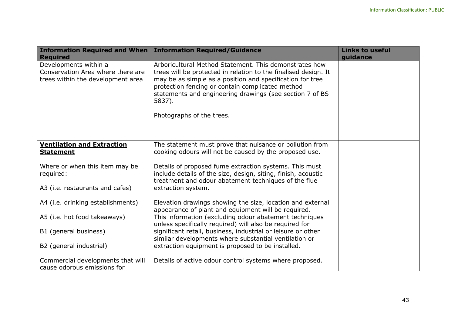| <b>Information Required and When</b>                                                                               | <b>Information Required/Guidance</b>                                                                                                                                                                                                                                                                                                          | <b>Links to useful</b> |
|--------------------------------------------------------------------------------------------------------------------|-----------------------------------------------------------------------------------------------------------------------------------------------------------------------------------------------------------------------------------------------------------------------------------------------------------------------------------------------|------------------------|
| <b>Required</b><br>Developments within a<br>Conservation Area where there are<br>trees within the development area | Arboricultural Method Statement. This demonstrates how<br>trees will be protected in relation to the finalised design. It<br>may be as simple as a position and specification for tree<br>protection fencing or contain complicated method<br>statements and engineering drawings (see section 7 of BS<br>5837).<br>Photographs of the trees. | guidance               |
| <b>Ventilation and Extraction</b><br><b>Statement</b>                                                              | The statement must prove that nuisance or pollution from<br>cooking odours will not be caused by the proposed use.                                                                                                                                                                                                                            |                        |
| Where or when this item may be<br>required:                                                                        | Details of proposed fume extraction systems. This must<br>include details of the size, design, siting, finish, acoustic<br>treatment and odour abatement techniques of the flue                                                                                                                                                               |                        |
| A3 (i.e. restaurants and cafes)                                                                                    | extraction system.                                                                                                                                                                                                                                                                                                                            |                        |
| A4 (i.e. drinking establishments)                                                                                  | Elevation drawings showing the size, location and external<br>appearance of plant and equipment will be required.                                                                                                                                                                                                                             |                        |
| A5 (i.e. hot food takeaways)                                                                                       | This information (excluding odour abatement techniques<br>unless specifically required) will also be required for                                                                                                                                                                                                                             |                        |
| B1 (general business)                                                                                              | significant retail, business, industrial or leisure or other<br>similar developments where substantial ventilation or                                                                                                                                                                                                                         |                        |
| B2 (general industrial)                                                                                            | extraction equipment is proposed to be installed.                                                                                                                                                                                                                                                                                             |                        |
| Commercial developments that will<br>cause odorous emissions for                                                   | Details of active odour control systems where proposed.                                                                                                                                                                                                                                                                                       |                        |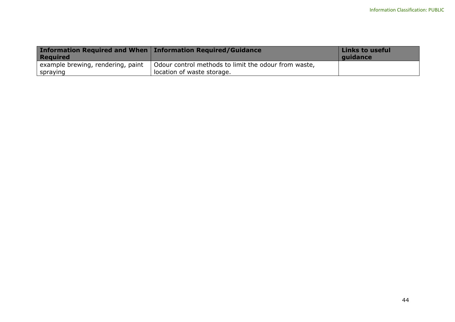| <b>Information Required and When Information Required/Guidance</b><br><b>Required</b> |                                                                                    | Links to useful<br>quidance |
|---------------------------------------------------------------------------------------|------------------------------------------------------------------------------------|-----------------------------|
| example brewing, rendering, paint<br>  spraying                                       | Odour control methods to limit the odour from waste,<br>location of waste storage. |                             |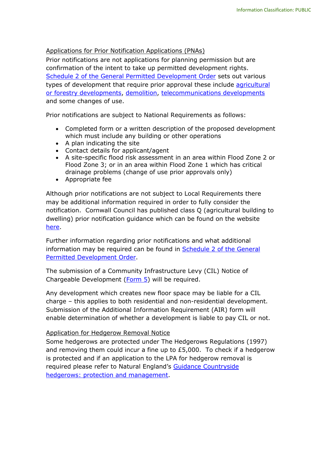#### <span id="page-46-0"></span>Applications for Prior Notification Applications (PNAs)

Prior notifications are not applications for planning permission but are confirmation of the intent to take up permitted development rights. [Schedule 2 of the General Permitted Development Order](https://www.legislation.gov.uk/uksi/2015/596/schedule/2/made) sets out various types of development that require prior approval these include [agricultural](https://ecab.planningportal.co.uk/uploads/1app/guidance/guidance_note-prior_notification_proposed_agricultural_or_forestry_development.pdf)  [or forestry developments,](https://ecab.planningportal.co.uk/uploads/1app/guidance/guidance_note-prior_notification_proposed_agricultural_or_forestry_development.pdf) [demolition,](https://ecab.planningportal.co.uk/uploads/1app/guidance/guidance_note-prior_notification_of_proposed_demolition.pdf) [telecommunications developments](https://ecab.planningportal.co.uk/uploads/1app/guidance/guidance_note-prior_notification_telecoms.pdf) and some changes of use.

Prior notifications are subject to National Requirements as follows:

- Completed form or a written description of the proposed development which must include any building or other operations
- A plan indicating the site
- Contact details for applicant/agent
- A site-specific flood risk assessment in an area within Flood Zone 2 or Flood Zone 3; or in an area within Flood Zone 1 which has critical drainage problems (change of use prior approvals only)
- Appropriate fee

Although prior notifications are not subject to Local Requirements there may be additional information required in order to fully consider the notification. Cornwall Council has published class Q (agricultural building to dwelling) prior notification guidance which can be found on the website [here.](https://www.cornwall.gov.uk/planningtech)

Further information regarding prior notifications and what additional information may be required can be found in Schedule 2 of the General [Permitted Development Order.](https://www.legislation.gov.uk/uksi/2015/596/schedule/2/made)

The submission of a Community Infrastructure Levy (CIL) Notice of Chargeable Development [\(Form 5\)](https://ecab.planningportal.co.uk/uploads/1app/forms/form_5_notice_of_chargeable_development.pdf) will be required.

Any development which creates new floor space may be liable for a CIL charge – this applies to both residential and non-residential development. Submission of the Additional Information Requirement (AIR) form will enable determination of whether a development is liable to pay CIL or not.

#### <span id="page-46-1"></span>Application for Hedgerow Removal Notice

Some hedgerows are protected under The Hedgerows Regulations (1997) and removing them could incur a fine up to £5,000. To check if a hedgerow is protected and if an application to the LPA for hedgerow removal is required please refer to Natural England's Guidance Countryside [hedgerows: protection and management.](https://www.gov.uk/guidance/countryside-hedgerows-regulation-and-management)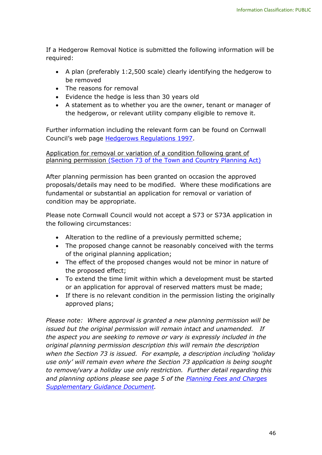If a Hedgerow Removal Notice is submitted the following information will be required:

- A plan (preferably 1:2,500 scale) clearly identifying the hedgerow to be removed
- The reasons for removal
- Evidence the hedge is less than 30 years old
- A statement as to whether you are the owner, tenant or manager of the hedgerow, or relevant utility company eligible to remove it.

Further information including the relevant form can be found on Cornwall Council's web page [Hedgerows Regulations 1997.](https://www.legislation.gov.uk/uksi/1997/1160/contents/made)

<span id="page-47-0"></span>Application for removal or variation of a condition following grant of planning permission [\(Section 73 of the Town and Country Planning Act\)](https://www.legislation.gov.uk/ukpga/1990/8/section/73)

After planning permission has been granted on occasion the approved proposals/details may need to be modified. Where these modifications are fundamental or substantial an application for removal or variation of condition may be appropriate.

Please note Cornwall Council would not accept a S73 or S73A application in the following circumstances:

- Alteration to the redline of a previously permitted scheme;
- The proposed change cannot be reasonably conceived with the terms of the original planning application;
- The effect of the proposed changes would not be minor in nature of the proposed effect;
- To extend the time limit within which a development must be started or an application for approval of reserved matters must be made;
- If there is no relevant condition in the permission listing the originally approved plans;

*Please note: Where approval is granted a new planning permission will be issued but the original permission will remain intact and unamended. If the aspect you are seeking to remove or vary is expressly included in the original planning permission description this will remain the description when the Section 73 is issued. For example, a description including 'holiday use only' will remain even where the Section 73 application is being sought to remove/vary a holiday use only restriction. Further detail regarding this and planning options please see page 5 of the [Planning Fees and Charges](https://www.cornwall.gov.uk/planningfees)  [Supplementary Guidance Document.](https://www.cornwall.gov.uk/planningfees)*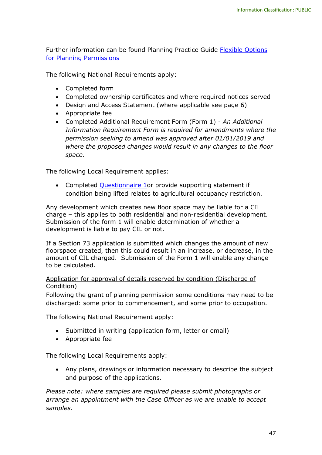Further information can be found Planning Practice Guide [Flexible Options](https://www.gov.uk/guidance/flexible-options-for-planning-permissions) [for Planning Permissions](https://www.gov.uk/guidance/flexible-options-for-planning-permissions)

The following National Requirements apply:

- Completed form
- Completed ownership certificates and where required notices served
- Design and Access Statement (where applicable see page 6)
- Appropriate fee
- Completed Additional Requirement Form (Form 1) *An Additional Information Requirement Form is required for amendments where the permission seeking to amend was approved after 01/01/2019 and where the proposed changes would result in any changes to the floor space.*

The following Local Requirement applies:

• Completed Questionnaire 1 or provide supporting statement if condition being lifted relates to agricultural occupancy restriction.

Any development which creates new floor space may be liable for a CIL charge – this applies to both residential and non-residential development. Submission of the form 1 will enable determination of whether a development is liable to pay CIL or not.

If a Section 73 application is submitted which changes the amount of new floorspace created, then this could result in an increase, or decrease, in the amount of CIL charged. Submission of the Form 1 will enable any change to be calculated.

#### <span id="page-48-0"></span>Application for approval of details reserved by condition (Discharge of Condition)

Following the grant of planning permission some conditions may need to be discharged: some prior to commencement, and some prior to occupation.

The following National Requirement apply:

- Submitted in writing (application form, letter or email)
- Appropriate fee

The following Local Requirements apply:

• Any plans, drawings or information necessary to describe the subject and purpose of the applications.

*Please note: where samples are required please submit photographs or arrange an appointment with the Case Officer as we are unable to accept samples.*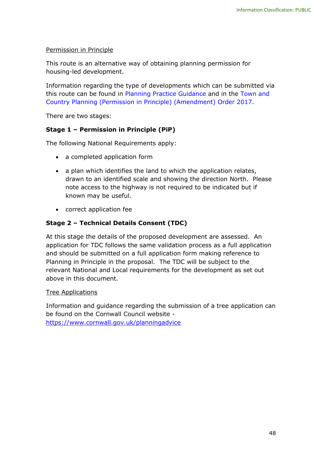#### Permission in Principle

This route is an alternative way of obtaining planning permission for housing-led development.

Information regarding the type of developments which can be submitted via this route can be found in [Planning Practice Guidance](https://www.gov.uk/guidance/permission-in-principle) and in the [Town and](https://www.legislation.gov.uk/uksi/2017/1309/pdfs/uksi_20171309_en.pdf)  [Country Planning \(Permission in Principle\) \(Amendment\) Order 2017.](https://www.legislation.gov.uk/uksi/2017/1309/pdfs/uksi_20171309_en.pdf)

There are two stages:

### **Stage 1 – Permission in Principle (PiP)**

The following National Requirements apply:

- a completed application form
- a plan which identifies the land to which the application relates, drawn to an identified scale and showing the direction North. Please note access to the highway is not required to be indicated but if known may be useful.
- correct application fee

#### **Stage 2 – Technical Details Consent (TDC)**

At this stage the details of the proposed development are assessed. An application for TDC follows the same validation process as a full application and should be submitted on a full application form making reference to Planning in Principle in the proposal. The TDC will be subject to the relevant National and Local requirements for the development as set out above in this document.

#### Tree Applications

Information and guidance regarding the submission of a tree application can be found on the Cornwall Council website <https://www.cornwall.gov.uk/planningadvice>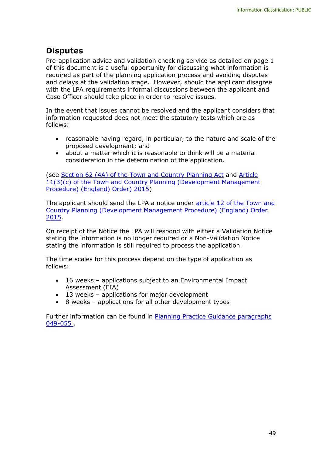# <span id="page-50-0"></span>**Disputes**

Pre-application advice and validation checking service as detailed on page 1 of this document is a useful opportunity for discussing what information is required as part of the planning application process and avoiding disputes and delays at the validation stage. However, should the applicant disagree with the LPA requirements informal discussions between the applicant and Case Officer should take place in order to resolve issues.

In the event that issues cannot be resolved and the applicant considers that information requested does not meet the statutory tests which are as follows:

- reasonable having regard, in particular, to the nature and scale of the proposed development; and
- about a matter which it is reasonable to think will be a material consideration in the determination of the application.

(see [Section 62 \(4A\) of the Town and Country Planning Act](https://www.legislation.gov.uk/ukpga/2013/27/section/6/enacted) and [Article](https://www.legislation.gov.uk/uksi/2015/595/article/11/made)  [11\(3\)\(c\) of the Town and Country Planning \(Development Management](https://www.legislation.gov.uk/uksi/2015/595/article/11/made)  [Procedure\) \(England\) Order\) 2015\)](https://www.legislation.gov.uk/uksi/2015/595/article/11/made)

The applicant should send the LPA a notice under [article 12 of the Town and](https://www.legislation.gov.uk/uksi/2015/595/article/12/made)  [Country Planning \(Development Management Procedure\) \(England\) Order](https://www.legislation.gov.uk/uksi/2015/595/article/12/made)  [2015.](https://www.legislation.gov.uk/uksi/2015/595/article/12/made)

On receipt of the Notice the LPA will respond with either a Validation Notice stating the information is no longer required or a Non-Validation Notice stating the information is still required to process the application.

The time scales for this process depend on the type of application as follows:

- 16 weeks applications subject to an Environmental Impact Assessment (EIA)
- 13 weeks applications for major development
- 8 weeks applications for all other development types

Further information can be found in [Planning Practice Guidance paragraphs](https://www.gov.uk/guidance/making-an-application#Growth-and-Infrastructure-Act-statutory-tests)  [049-055 .](https://www.gov.uk/guidance/making-an-application#Growth-and-Infrastructure-Act-statutory-tests)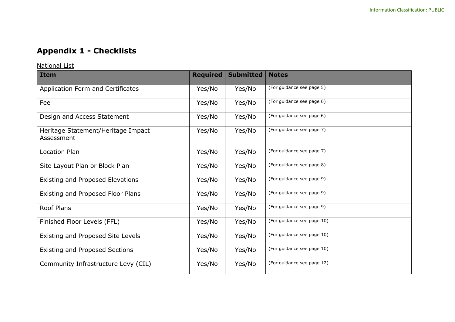# **Appendix 1 - Checklists**

National List

<span id="page-51-1"></span><span id="page-51-0"></span>

| <b>Item</b>                                      | <b>Required</b> | <b>Submitted</b> | <b>Notes</b>               |
|--------------------------------------------------|-----------------|------------------|----------------------------|
| Application Form and Certificates                | Yes/No          | Yes/No           | (For guidance see page 5)  |
| Fee                                              | Yes/No          | Yes/No           | (For guidance see page 6)  |
| Design and Access Statement                      | Yes/No          | Yes/No           | (For guidance see page 6)  |
| Heritage Statement/Heritage Impact<br>Assessment | Yes/No          | Yes/No           | (For guidance see page 7)  |
| Location Plan                                    | Yes/No          | Yes/No           | (For guidance see page 7)  |
| Site Layout Plan or Block Plan                   | Yes/No          | Yes/No           | (For guidance see page 8)  |
| Existing and Proposed Elevations                 | Yes/No          | Yes/No           | (For guidance see page 9)  |
| Existing and Proposed Floor Plans                | Yes/No          | Yes/No           | (For guidance see page 9)  |
| <b>Roof Plans</b>                                | Yes/No          | Yes/No           | (For guidance see page 9)  |
| Finished Floor Levels (FFL)                      | Yes/No          | Yes/No           | (For guidance see page 10) |
| Existing and Proposed Site Levels                | Yes/No          | Yes/No           | (For guidance see page 10) |
| <b>Existing and Proposed Sections</b>            | Yes/No          | Yes/No           | (For guidance see page 10) |
| Community Infrastructure Levy (CIL)              | Yes/No          | Yes/No           | (For guidance see page 12) |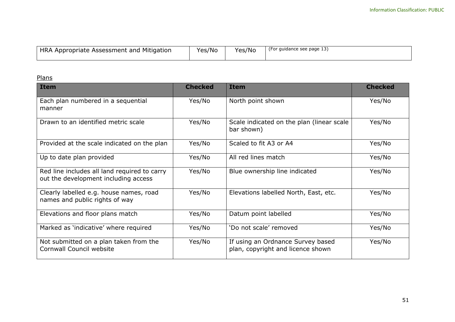| HRA Appropriate Assessment and Mitigation | Yes/No | Yes/No | (For guidance see page 13) |
|-------------------------------------------|--------|--------|----------------------------|
|                                           |        |        |                            |

# Plans

<span id="page-52-0"></span>

| <b>Item</b>                                                                          | <b>Checked</b> | <b>Item</b>                                                            | <b>Checked</b> |
|--------------------------------------------------------------------------------------|----------------|------------------------------------------------------------------------|----------------|
| Each plan numbered in a sequential<br>manner                                         | Yes/No         | North point shown                                                      | Yes/No         |
| Drawn to an identified metric scale                                                  | Yes/No         | Scale indicated on the plan (linear scale<br>bar shown)                | Yes/No         |
| Provided at the scale indicated on the plan                                          | Yes/No         | Scaled to fit A3 or A4                                                 | Yes/No         |
| Up to date plan provided                                                             | Yes/No         | All red lines match                                                    | Yes/No         |
| Red line includes all land required to carry<br>out the development including access | Yes/No         | Blue ownership line indicated                                          | Yes/No         |
| Clearly labelled e.g. house names, road<br>names and public rights of way            | Yes/No         | Elevations labelled North, East, etc.                                  | Yes/No         |
| Elevations and floor plans match                                                     | Yes/No         | Datum point labelled                                                   | Yes/No         |
| Marked as 'indicative' where required                                                | Yes/No         | 'Do not scale' removed                                                 | Yes/No         |
| Not submitted on a plan taken from the<br>Cornwall Council website                   | Yes/No         | If using an Ordnance Survey based<br>plan, copyright and licence shown | Yes/No         |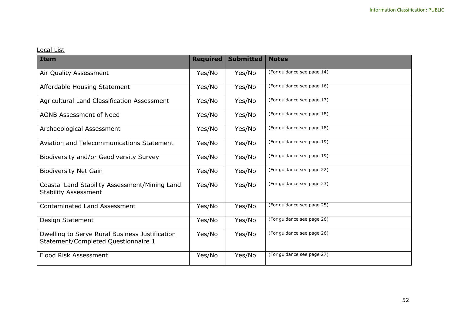# Local List

<span id="page-53-0"></span>

| <b>Item</b>                                                                           | <b>Required</b> | <b>Submitted</b> | <b>Notes</b>               |
|---------------------------------------------------------------------------------------|-----------------|------------------|----------------------------|
| Air Quality Assessment                                                                | Yes/No          | Yes/No           | (For guidance see page 14) |
| Affordable Housing Statement                                                          | Yes/No          | Yes/No           | (For guidance see page 16) |
| Agricultural Land Classification Assessment                                           | Yes/No          | Yes/No           | (For guidance see page 17) |
| AONB Assessment of Need                                                               | Yes/No          | Yes/No           | (For guidance see page 18) |
| Archaeological Assessment                                                             | Yes/No          | Yes/No           | (For guidance see page 18) |
| Aviation and Telecommunications Statement                                             | Yes/No          | Yes/No           | (For guidance see page 19) |
| Biodiversity and/or Geodiversity Survey                                               | Yes/No          | Yes/No           | (For guidance see page 19) |
| <b>Biodiversity Net Gain</b>                                                          | Yes/No          | Yes/No           | (For guidance see page 22) |
| Coastal Land Stability Assessment/Mining Land<br><b>Stability Assessment</b>          | Yes/No          | Yes/No           | (For guidance see page 23) |
| <b>Contaminated Land Assessment</b>                                                   | Yes/No          | Yes/No           | (For guidance see page 25) |
| Design Statement                                                                      | Yes/No          | Yes/No           | (For guidance see page 26) |
| Dwelling to Serve Rural Business Justification<br>Statement/Completed Questionnaire 1 | Yes/No          | Yes/No           | (For guidance see page 26) |
| <b>Flood Risk Assessment</b>                                                          | Yes/No          | Yes/No           | (For guidance see page 27) |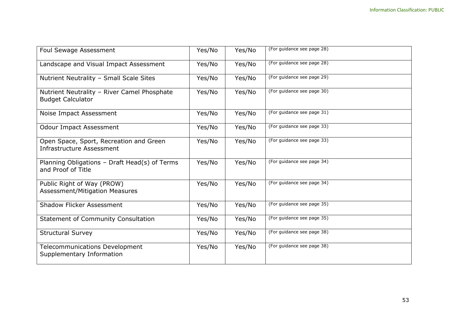| <b>Foul Sewage Assessment</b>                                           | Yes/No | Yes/No | (For guidance see page 28) |
|-------------------------------------------------------------------------|--------|--------|----------------------------|
| Landscape and Visual Impact Assessment                                  | Yes/No | Yes/No | (For guidance see page 28) |
| Nutrient Neutrality - Small Scale Sites                                 | Yes/No | Yes/No | (For guidance see page 29) |
| Nutrient Neutrality - River Camel Phosphate<br><b>Budget Calculator</b> | Yes/No | Yes/No | (For guidance see page 30) |
| Noise Impact Assessment                                                 | Yes/No | Yes/No | (For guidance see page 31) |
| <b>Odour Impact Assessment</b>                                          | Yes/No | Yes/No | (For guidance see page 33) |
| Open Space, Sport, Recreation and Green<br>Infrastructure Assessment    | Yes/No | Yes/No | (For guidance see page 33) |
| Planning Obligations - Draft Head(s) of Terms<br>and Proof of Title     | Yes/No | Yes/No | (For guidance see page 34) |
| Public Right of Way (PROW)<br><b>Assessment/Mitigation Measures</b>     | Yes/No | Yes/No | (For guidance see page 34) |
| <b>Shadow Flicker Assessment</b>                                        | Yes/No | Yes/No | (For guidance see page 35) |
| <b>Statement of Community Consultation</b>                              | Yes/No | Yes/No | (For guidance see page 35) |
| <b>Structural Survey</b>                                                | Yes/No | Yes/No | (For guidance see page 38) |
| Telecommunications Development<br>Supplementary Information             | Yes/No | Yes/No | (For guidance see page 38) |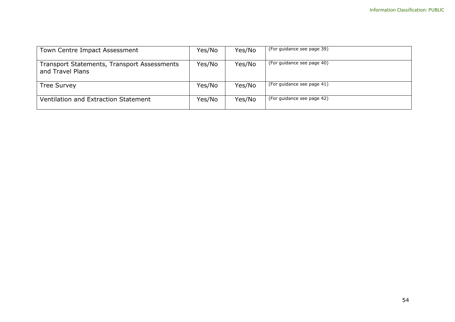| Town Centre Impact Assessment                                   | Yes/No | Yes/No | (For guidance see page 39) |
|-----------------------------------------------------------------|--------|--------|----------------------------|
| Transport Statements, Transport Assessments<br>and Travel Plans | Yes/No | Yes/No | (For guidance see page 40) |
| <b>Tree Survey</b>                                              | Yes/No | Yes/No | (For guidance see page 41) |
| Ventilation and Extraction Statement                            | Yes/No | Yes/No | (For guidance see page 42) |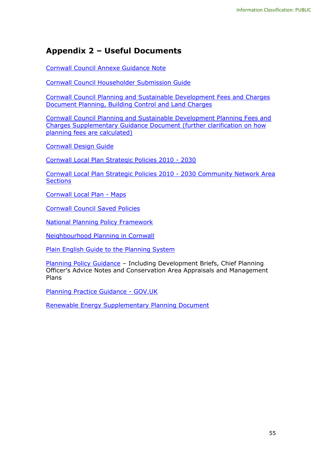# <span id="page-56-0"></span>**Appendix 2 – Useful Documents**

[Cornwall Council Annexe Guidance Note](https://www.cornwall.gov.uk/planningtech)

[Cornwall Council Householder Submission Guide](https://www.cornwall.gov.uk/planningadvice)

[Cornwall Council Planning and Sustainable Development Fees and Charges](https://www.cornwall.gov.uk/planningfees)  [Document Planning, Building Control and Land Charges](https://www.cornwall.gov.uk/planningfees)

[Cornwall Council Planning and Sustainable Development Planning Fees and](https://www.cornwall.gov.uk/planningfees)  [Charges Supplementary Guidance Document \(further clarification on how](https://www.cornwall.gov.uk/planningfees)  [planning fees are calculated\)](https://www.cornwall.gov.uk/planningfees)

[Cornwall Design Guide](https://www.cornwall.gov.uk/designguide)

[Cornwall Local Plan Strategic Policies 2010 -](https://www.cornwall.gov.uk/ldf) 2030

[Cornwall Local Plan Strategic Policies 2010 -](https://www.cornwall.gov.uk/ldf) 2030 Community Network Area **[Sections](https://www.cornwall.gov.uk/ldf)** 

[Cornwall Local Plan -](https://www.cornwall.gov.uk/ldf) Maps

[Cornwall Council Saved Policies](https://www.cornwall.gov.uk/planningpolicy)

[National Planning Policy Framework](https://www.gov.uk/guidance/national-planning-policy-framework)

[Neighbourhood Planning in Cornwall](https://www.cornwall.gov.uk/neighbourhoodplanning)

[Plain English Guide to the Planning System](https://www.gov.uk/government/publications/plain-english-guide-to-the-planning-system)

[Planning Policy Guidance](https://www.cornwall.gov.uk/ldf) – Including Development Briefs, Chief Planning Officer's Advice Notes and Conservation Area Appraisals and Management Plans

[Planning Practice Guidance -](https://www.gov.uk/government/collections/planning-practice-guidance) GOV.UK

<span id="page-56-1"></span>[Renewable Energy Supplementary Planning Document](https://www.cornwall.gov.uk/renewablespd)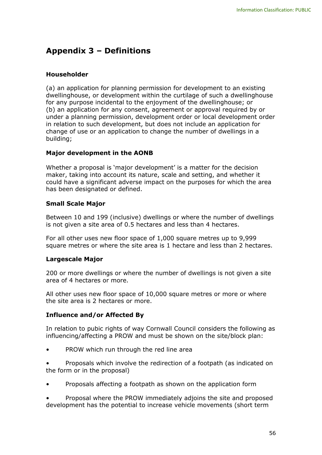# **Appendix 3 – Definitions**

#### **Householder**

(a) an application for planning permission for development to an existing dwellinghouse, or development within the curtilage of such a dwellinghouse for any purpose incidental to the enjoyment of the dwellinghouse; or (b) an application for any consent, agreement or approval required by or under a planning permission, development order or local development order in relation to such development, but does not include an application for change of use or an application to change the number of dwellings in a building;

#### **Major development in the AONB**

Whether a proposal is 'major development' is a matter for the decision maker, taking into account its nature, scale and setting, and whether it could have a significant adverse impact on the purposes for which the area has been designated or defined.

#### **Small Scale Major**

Between 10 and 199 (inclusive) dwellings or where the number of dwellings is not given a site area of 0.5 hectares and less than 4 hectares.

For all other uses new floor space of 1,000 square metres up to 9,999 square metres or where the site area is 1 hectare and less than 2 hectares.

#### **Largescale Major**

200 or more dwellings or where the number of dwellings is not given a site area of 4 hectares or more.

All other uses new floor space of 10,000 square metres or more or where the site area is 2 hectares or more.

#### **Influence and/or Affected By**

In relation to pubic rights of way Cornwall Council considers the following as influencing/affecting a PROW and must be shown on the site/block plan:

• PROW which run through the red line area

• Proposals which involve the redirection of a footpath (as indicated on the form or in the proposal)

• Proposals affecting a footpath as shown on the application form

• Proposal where the PROW immediately adjoins the site and proposed development has the potential to increase vehicle movements (short term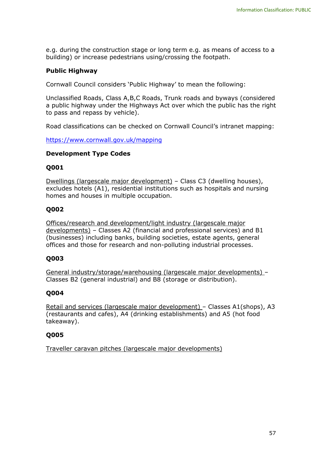e.g. during the construction stage or long term e.g. as means of access to a building) or increase pedestrians using/crossing the footpath.

#### **Public Highway**

Cornwall Council considers 'Public Highway' to mean the following:

Unclassified Roads, Class A,B,C Roads, Trunk roads and byways (considered a public highway under the Highways Act over which the public has the right to pass and repass by vehicle).

Road classifications can be checked on Cornwall Council's intranet mapping:

<https://www.cornwall.gov.uk/mapping>

#### **Development Type Codes**

#### **Q001**

Dwellings (largescale major development) – Class C3 (dwelling houses), excludes hotels (A1), residential institutions such as hospitals and nursing homes and houses in multiple occupation.

#### **Q002**

Offices/research and development/light industry (largescale major developments) – Classes A2 (financial and professional services) and B1 (businesses) including banks, building societies, estate agents, general offices and those for research and non-polluting industrial processes.

#### **Q003**

General industry/storage/warehousing (largescale major developments) – Classes B2 (general industrial) and B8 (storage or distribution).

#### **Q004**

Retail and services (largescale major development) – Classes A1(shops), A3 (restaurants and cafes), A4 (drinking establishments) and A5 (hot food takeaway).

#### **Q005**

Traveller caravan pitches (largescale major developments)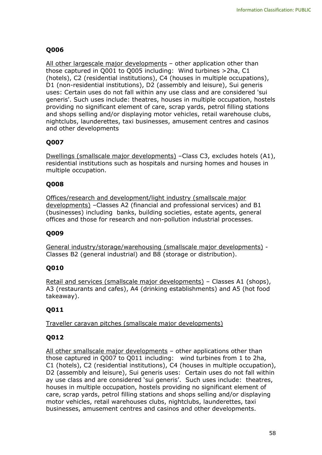# **Q006**

All other largescale major developments - other application other than those captured in Q001 to Q005 including: Wind turbines >2ha, C1 (hotels), C2 (residential institutions), C4 (houses in multiple occupations), D1 (non-residential institutions), D2 (assembly and leisure), Sui generis uses: Certain uses do not fall within any use class and are considered 'sui generis'. Such uses include: theatres, houses in multiple occupation, hostels providing no significant element of care, scrap yards, petrol filling stations and shops selling and/or displaying motor vehicles, retail warehouse clubs, nightclubs, launderettes, taxi businesses, amusement centres and casinos and other developments

# **Q007**

Dwellings (smallscale major developments) –Class C3, excludes hotels (A1), residential institutions such as hospitals and nursing homes and houses in multiple occupation.

# **Q008**

Offices/research and development/light industry (smallscale major developments) –Classes A2 (financial and professional services) and B1 (businesses) including banks, building societies, estate agents, general offices and those for research and non-pollution industrial processes.

# **Q009**

General industry/storage/warehousing (smallscale major developments) - Classes B2 (general industrial) and B8 (storage or distribution).

# **Q010**

Retail and services (smallscale major developments) – Classes A1 (shops), A3 (restaurants and cafes), A4 (drinking establishments) and A5 (hot food takeaway).

# **Q011**

Traveller caravan pitches (smallscale major developments)

# **Q012**

All other smallscale major developments - other applications other than those captured in Q007 to Q011 including: wind turbines from 1 to 2ha, C1 (hotels), C2 (residential institutions), C4 (houses in multiple occupation), D2 (assembly and leisure), Sui generis uses: Certain uses do not fall within ay use class and are considered 'sui generis'. Such uses include: theatres, houses in multiple occupation, hostels providing no significant element of care, scrap yards, petrol filling stations and shops selling and/or displaying motor vehicles, retail warehouses clubs, nightclubs, launderettes, taxi businesses, amusement centres and casinos and other developments.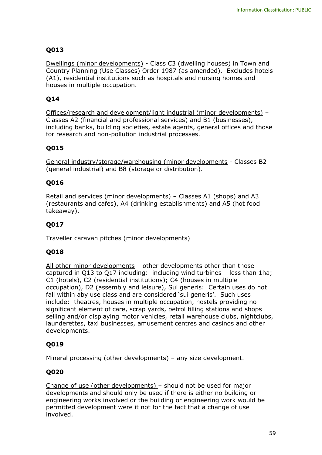# **Q013**

Dwellings (minor developments) - Class C3 (dwelling houses) in Town and Country Planning (Use Classes) Order 1987 (as amended). Excludes hotels (A1), residential institutions such as hospitals and nursing homes and houses in multiple occupation.

# **Q14**

Offices/research and development/light industrial (minor developments) – Classes A2 (financial and professional services) and B1 (businesses), including banks, building societies, estate agents, general offices and those for research and non-pollution industrial processes.

# **Q015**

General industry/storage/warehousing (minor developments - Classes B2 (general industrial) and B8 (storage or distribution).

# **Q016**

Retail and services (minor developments) – Classes A1 (shops) and A3 (restaurants and cafes), A4 (drinking establishments) and A5 (hot food takeaway).

# **Q017**

Traveller caravan pitches (minor developments)

# **Q018**

All other minor developments - other developments other than those captured in Q13 to Q17 including: including wind turbines – less than 1ha; C1 (hotels), C2 (residential institutions); C4 (houses in multiple occupation), D2 (assembly and leisure), Sui generis: Certain uses do not fall within aby use class and are considered 'sui generis'. Such uses include: theatres, houses in multiple occupation, hostels providing no significant element of care, scrap yards, petrol filling stations and shops selling and/or displaying motor vehicles, retail warehouse clubs, nightclubs, launderettes, taxi businesses, amusement centres and casinos and other developments.

# **Q019**

Mineral processing (other developments) – any size development.

# **Q020**

Change of use (other developments) – should not be used for major developments and should only be used if there is either no building or engineering works involved or the building or engineering work would be permitted development were it not for the fact that a change of use involved.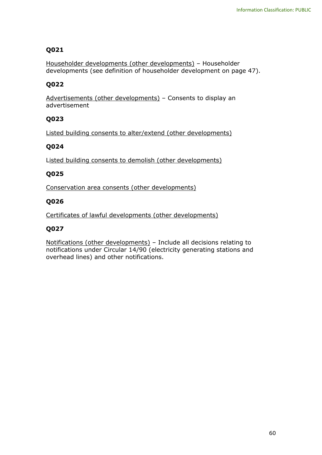### **Q021**

Householder developments (other developments) – Householder developments (see definition of householder development on page 47).

### **Q022**

Advertisements (other developments) – Consents to display an advertisement

### **Q023**

Listed building consents to alter/extend (other developments)

#### **Q024**

Listed building consents to demolish (other developments)

# **Q025**

Conservation area consents (other developments)

#### **Q026**

Certificates of lawful developments (other developments)

# **Q027**

Notifications (other developments) – Include all decisions relating to notifications under Circular 14/90 (electricity generating stations and overhead lines) and other notifications.